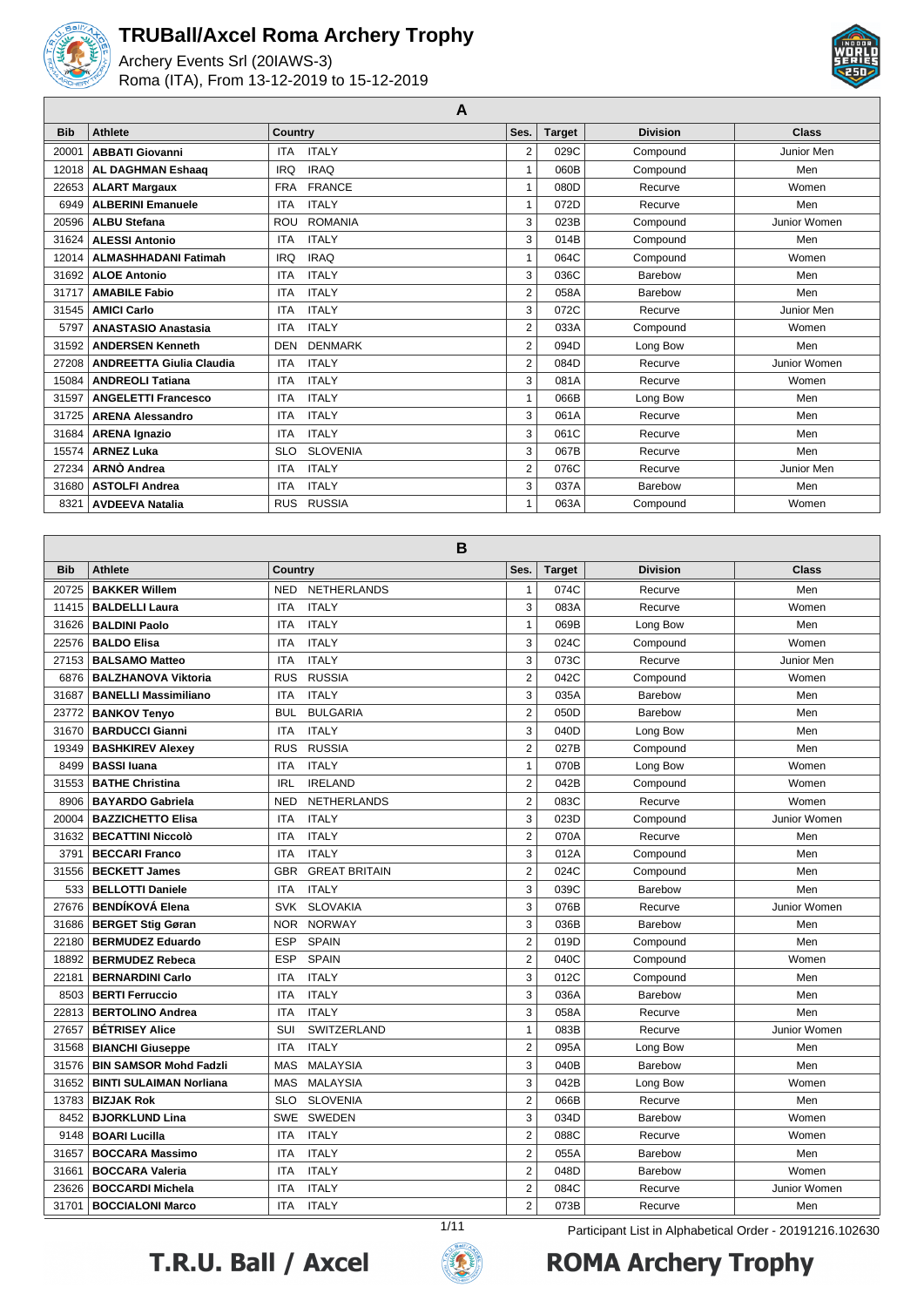

Archery Events Srl (20IAWS-3) Roma (ITA), From 13-12-2019 to 15-12-2019



**A**

| <b>Bib</b> | <b>Athlete</b>                  | Country                       | Ses.           | <b>Target</b> | <b>Division</b> | <b>Class</b> |
|------------|---------------------------------|-------------------------------|----------------|---------------|-----------------|--------------|
| 20001      | <b>ABBATI Giovanni</b>          | <b>ITALY</b><br><b>ITA</b>    | 2              | 029C          | Compound        | Junior Men   |
| 12018      | <b>AL DAGHMAN Eshaaq</b>        | <b>IRAQ</b><br><b>IRQ</b>     |                | 060B          | Compound        | Men          |
| 22653      | <b>ALART Margaux</b>            | <b>FRANCE</b><br><b>FRA</b>   |                | 080D          | Recurve         | Women        |
| 6949       | <b>ALBERINI Emanuele</b>        | <b>ITALY</b><br><b>ITA</b>    |                | 072D          | Recurve         | Men          |
| 20596      | <b>ALBU Stefana</b>             | <b>ROMANIA</b><br><b>ROU</b>  | 3              | 023B          | Compound        | Junior Women |
| 31624      | <b>ALESSI Antonio</b>           | <b>ITALY</b><br><b>ITA</b>    | 3              | 014B          | Compound        | Men          |
| 12014      | <b>ALMASHHADANI Fatimah</b>     | <b>IRAQ</b><br><b>IRQ</b>     |                | 064C          | Compound        | Women        |
| 31692      | <b>ALOE Antonio</b>             | <b>ITALY</b><br><b>ITA</b>    | 3              | 036C          | Barebow         | Men          |
| 31717      | <b>AMABILE Fabio</b>            | <b>ITALY</b><br><b>ITA</b>    | 2              | 058A          | Barebow         | Men          |
| 31545      | <b>AMICI Carlo</b>              | <b>ITALY</b><br><b>ITA</b>    | 3              | 072C          | Recurve         | Junior Men   |
| 5797       | <b>ANASTASIO Anastasia</b>      | <b>ITALY</b><br><b>ITA</b>    | $\overline{2}$ | 033A          | Compound        | Women        |
| 31592      | <b>ANDERSEN Kenneth</b>         | <b>DENMARK</b><br><b>DEN</b>  | 2              | 094D          | Long Bow        | Men          |
| 27208      | <b>ANDREETTA Giulia Claudia</b> | <b>ITALY</b><br><b>ITA</b>    | 2              | 084D          | Recurve         | Junior Women |
| 15084      | <b>ANDREOLI Tatiana</b>         | <b>ITALY</b><br><b>ITA</b>    | 3              | 081A          | Recurve         | Women        |
| 31597      | <b>ANGELETTI Francesco</b>      | <b>ITALY</b><br><b>ITA</b>    |                | 066B          | Long Bow        | Men          |
| 31725      | <b>ARENA Alessandro</b>         | <b>ITALY</b><br><b>ITA</b>    | 3              | 061A          | Recurve         | Men          |
| 31684      | <b>ARENA Ignazio</b>            | <b>ITALY</b><br><b>ITA</b>    | 3              | 061C          | Recurve         | Men          |
| 15574      | <b>ARNEZ Luka</b>               | <b>SLOVENIA</b><br><b>SLO</b> | 3              | 067B          | Recurve         | Men          |
| 27234      | ARNO Andrea                     | <b>ITALY</b><br><b>ITA</b>    | 2              | 076C          | Recurve         | Junior Men   |
| 31680      | <b>ASTOLFI Andrea</b>           | <b>ITALY</b><br><b>ITA</b>    | 3              | 037A          | Barebow         | Men          |
| 8321       | <b>AVDEEVA Natalia</b>          | <b>RUSSIA</b><br><b>RUS</b>   |                | 063A          | Compound        | Women        |

|            | $\mathbf B$                                                      |                                    |                |               |                 |              |  |  |  |
|------------|------------------------------------------------------------------|------------------------------------|----------------|---------------|-----------------|--------------|--|--|--|
| <b>Bib</b> | <b>Athlete</b>                                                   | <b>Country</b>                     | Ses.           | <b>Target</b> | <b>Division</b> | <b>Class</b> |  |  |  |
| 20725      | <b>BAKKER Willem</b>                                             | <b>NETHERLANDS</b><br><b>NED</b>   | $\mathbf{1}$   | 074C          | Recurve         | Men          |  |  |  |
| 11415      | <b>BALDELLI Laura</b>                                            | <b>ITA</b><br><b>ITALY</b>         | 3              | 083A          | Recurve         | Women        |  |  |  |
| 31626      | <b>BALDINI Paolo</b>                                             | <b>ITALY</b><br><b>ITA</b>         | $\mathbf{1}$   | 069B          | Long Bow        | Men          |  |  |  |
| 22576      | <b>BALDO Elisa</b>                                               | <b>ITALY</b><br><b>ITA</b>         | 3              | 024C          | Compound        | Women        |  |  |  |
| 27153      | <b>BALSAMO Matteo</b>                                            | <b>ITALY</b><br><b>ITA</b>         | 3              | 073C          | Recurve         | Junior Men   |  |  |  |
| 6876       | <b>BALZHANOVA Viktoria</b>                                       | <b>RUSSIA</b><br><b>RUS</b>        | $\overline{2}$ | 042C          | Compound        | Women        |  |  |  |
| 31687      | <b>BANELLI Massimiliano</b>                                      | <b>ITALY</b><br><b>ITA</b>         | 3              | 035A          | Barebow         | Men          |  |  |  |
|            | 23772   BANKOV Tenyo                                             | <b>BUL</b><br><b>BULGARIA</b>      | $\overline{2}$ | 050D          | Barebow         | Men          |  |  |  |
| 31670      | <b>BARDUCCI Gianni</b>                                           | <b>ITALY</b><br><b>ITA</b>         | 3              | 040D          | Long Bow        | Men          |  |  |  |
| 19349      | <b>BASHKIREV Alexey</b>                                          | <b>RUS</b><br><b>RUSSIA</b>        | $\overline{2}$ | 027B          | Compound        | Men          |  |  |  |
| 8499       | <b>BASSI</b> luana                                               | <b>ITALY</b><br><b>ITA</b>         | $\mathbf{1}$   | 070B          | Long Bow        | Women        |  |  |  |
| 31553      | <b>BATHE Christina</b>                                           | <b>IRELAND</b><br><b>IRL</b>       | $\overline{2}$ | 042B          | Compound        | Women        |  |  |  |
| 8906       | <b>BAYARDO Gabriela</b>                                          | <b>NETHERLANDS</b><br><b>NED</b>   | $\overline{2}$ | 083C          | Recurve         | Women        |  |  |  |
| 20004      | <b>BAZZICHETTO Elisa</b>                                         | <b>ITALY</b><br><b>ITA</b>         | 3              | 023D          | Compound        | Junior Women |  |  |  |
|            | 31632   BECATTINI Niccolò                                        | <b>ITALY</b><br><b>ITA</b>         | $\overline{2}$ | 070A          | Recurve         | Men          |  |  |  |
| 3791       | <b>BECCARI Franco</b>                                            | <b>ITALY</b><br>ITA                | 3              | 012A          | Compound        | Men          |  |  |  |
| 31556      | <b>BECKETT James</b>                                             | <b>GBR</b><br><b>GREAT BRITAIN</b> | $\overline{2}$ | 024C          | Compound        | Men          |  |  |  |
| 533        | <b>BELLOTTI Daniele</b>                                          | <b>ITALY</b><br><b>ITA</b>         | 3              | 039C          | Barebow         | Men          |  |  |  |
| 27676      | <b>BENDÍKOVÁ Elena</b>                                           | <b>SLOVAKIA</b><br><b>SVK</b>      | 3              | 076B          | Recurve         | Junior Women |  |  |  |
| 31686      | <b>BERGET Stig Gøran</b>                                         | <b>NORWAY</b><br><b>NOR</b>        | 3              | 036B          | Barebow         | Men          |  |  |  |
| 22180      | <b>BERMUDEZ Eduardo</b>                                          | ESP<br><b>SPAIN</b>                | $\overline{2}$ | 019D          | Compound        | Men          |  |  |  |
| 18892      | <b>BERMUDEZ Rebeca</b>                                           | <b>ESP</b><br><b>SPAIN</b>         | $\overline{2}$ | 040C          | Compound        | Women        |  |  |  |
| 22181      | <b>BERNARDINI Carlo</b>                                          | <b>ITALY</b><br><b>ITA</b>         | 3              | 012C          | Compound        | Men          |  |  |  |
| 8503       | <b>BERTI Ferruccio</b>                                           | <b>ITALY</b><br><b>ITA</b>         | 3              | 036A          | Barebow         | Men          |  |  |  |
| 22813      | <b>BERTOLINO Andrea</b>                                          | <b>ITALY</b><br><b>ITA</b>         | 3              | 058A          | Recurve         | Men          |  |  |  |
| 27657      | <b>BÉTRISEY Alice</b>                                            | SUI<br><b>SWITZERLAND</b>          | $\mathbf{1}$   | 083B          | Recurve         | Junior Women |  |  |  |
| 31568      | <b>BIANCHI Giuseppe</b>                                          | <b>ITALY</b><br><b>ITA</b>         | $\overline{2}$ | 095A          | Long Bow        | Men          |  |  |  |
| 31576      | <b>BIN SAMSOR Mohd Fadzli</b>                                    | <b>MALAYSIA</b><br><b>MAS</b>      | 3              | 040B          | Barebow         | Men          |  |  |  |
| 31652      | <b>BINTI SULAIMAN Norliana</b>                                   | <b>MALAYSIA</b><br><b>MAS</b>      | 3              | 042B          | Long Bow        | Women        |  |  |  |
| 13783      | <b>BIZJAK Rok</b>                                                | <b>SLOVENIA</b><br><b>SLO</b>      | $\overline{2}$ | 066B          | Recurve         | Men          |  |  |  |
| 8452       | <b>BJORKLUND Lina</b>                                            | <b>SWE</b><br>SWEDEN               | 3              | 034D          | Barebow         | Women        |  |  |  |
| 9148       | <b>BOARI Lucilla</b>                                             | <b>ITALY</b><br><b>ITA</b>         | $\overline{2}$ | 088C          | Recurve         | Women        |  |  |  |
| 31657      | <b>BOCCARA Massimo</b>                                           | <b>ITA</b><br><b>ITALY</b>         | $\overline{2}$ | 055A          | Barebow         | Men          |  |  |  |
| 31661      | <b>BOCCARA Valeria</b>                                           | <b>ITALY</b><br>ITA                | $\overline{2}$ | 048D          | Barebow         | Women        |  |  |  |
| 23626      | <b>BOCCARDI Michela</b>                                          | <b>ITA</b><br><b>ITALY</b>         | $\overline{2}$ | 084C          | Recurve         | Junior Women |  |  |  |
| 31701      | <b>BOCCIALONI Marco</b>                                          | <b>ITALY</b><br><b>ITA</b>         | $\overline{2}$ | 073B          | Recurve         | Men          |  |  |  |
|            | 1/11<br>Participant List in Alphabetical Order - 20191216.102630 |                                    |                |               |                 |              |  |  |  |



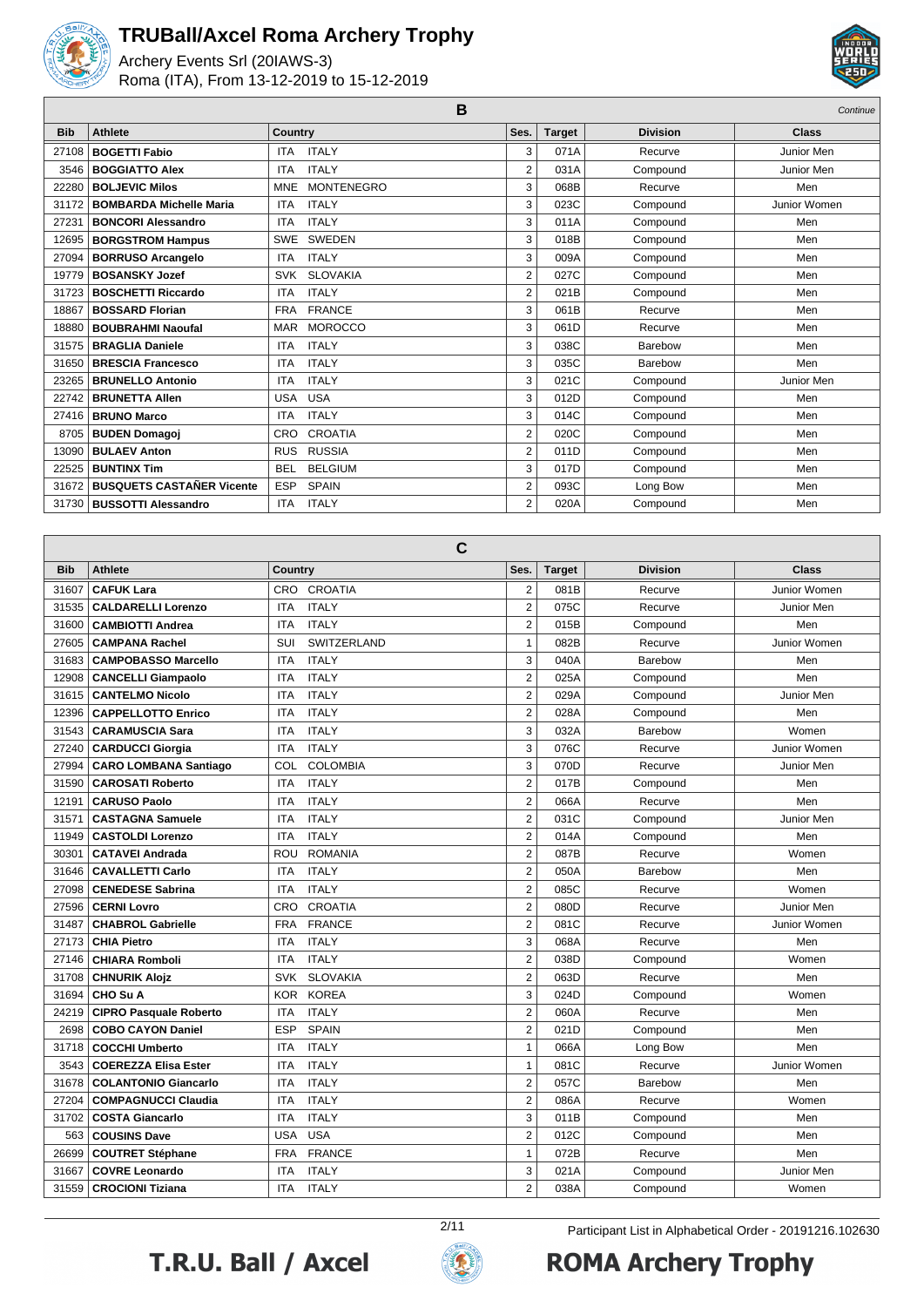

Archery Events Srl (20IAWS-3) Roma (ITA), From 13-12-2019 to 15-12-2019



|            |                                  | B                               |                |               |                 | Continue     |
|------------|----------------------------------|---------------------------------|----------------|---------------|-----------------|--------------|
| <b>Bib</b> | <b>Athlete</b>                   | <b>Country</b>                  | Ses.           | <b>Target</b> | <b>Division</b> | <b>Class</b> |
| 27108      | <b>BOGETTI Fabio</b>             | <b>ITALY</b><br><b>ITA</b>      | 3              | 071A          | Recurve         | Junior Men   |
| 3546       | <b>BOGGIATTO Alex</b>            | <b>ITALY</b><br><b>ITA</b>      | $\overline{2}$ | 031A          | Compound        | Junior Men   |
| 22280      | <b>BOLJEVIC Milos</b>            | <b>MONTENEGRO</b><br><b>MNE</b> | 3              | 068B          | Recurve         | Men          |
| 31172      | <b>BOMBARDA Michelle Maria</b>   | <b>ITALY</b><br><b>ITA</b>      | 3              | 023C          | Compound        | Junior Women |
| 27231      | <b>BONCORI Alessandro</b>        | <b>ITALY</b><br><b>ITA</b>      | 3              | 011A          | Compound        | Men          |
| 12695      | <b>BORGSTROM Hampus</b>          | SWE<br><b>SWEDEN</b>            | 3              | 018B          | Compound        | Men          |
| 27094      | <b>BORRUSO Arcangelo</b>         | <b>ITALY</b><br><b>ITA</b>      | 3              | 009A          | Compound        | Men          |
| 19779      | <b>BOSANSKY Jozef</b>            | <b>SLOVAKIA</b><br><b>SVK</b>   | 2              | 027C          | Compound        | Men          |
| 31723      | <b>BOSCHETTI Riccardo</b>        | <b>ITALY</b><br><b>ITA</b>      | $\overline{2}$ | 021B          | Compound        | Men          |
| 18867      | <b>BOSSARD Florian</b>           | <b>FRANCE</b><br><b>FRA</b>     | 3              | 061B          | Recurve         | Men          |
| 18880      | <b>BOUBRAHMI Naoufal</b>         | <b>MOROCCO</b><br><b>MAR</b>    | 3              | 061D          | Recurve         | Men          |
| 31575      | <b>BRAGLIA Daniele</b>           | <b>ITALY</b><br><b>ITA</b>      | 3              | 038C          | Barebow         | Men          |
| 31650      | <b>BRESCIA Francesco</b>         | <b>ITALY</b><br><b>ITA</b>      | 3              | 035C          | Barebow         | Men          |
| 23265      | <b>BRUNELLO Antonio</b>          | <b>ITALY</b><br><b>ITA</b>      | 3              | 021C          | Compound        | Junior Men   |
| 22742      | <b>BRUNETTA Allen</b>            | <b>USA</b><br><b>USA</b>        | 3              | 012D          | Compound        | Men          |
| 27416      | <b>BRUNO Marco</b>               | <b>ITALY</b><br><b>ITA</b>      | 3              | 014C          | Compound        | Men          |
| 8705       | <b>BUDEN Domagoi</b>             | <b>CROATIA</b><br><b>CRO</b>    | $\overline{2}$ | 020C          | Compound        | Men          |
| 13090      | <b>BULAEV Anton</b>              | <b>RUSSIA</b><br><b>RUS</b>     | $\overline{2}$ | 011D          | Compound        | Men          |
| 22525      | <b>BUNTINX Tim</b>               | <b>BELGIUM</b><br><b>BEL</b>    | 3              | 017D          | Compound        | Men          |
| 31672      | <b>BUSQUETS CASTAÑER Vicente</b> | <b>SPAIN</b><br><b>ESP</b>      | 2              | 093C          | Long Bow        | Men          |
| 31730      | <b>BUSSOTTI Alessandro</b>       | <b>ITALY</b><br><b>ITA</b>      | $\overline{2}$ | 020A          | Compound        | Men          |

|            | C                             |                               |                |               |                 |              |  |  |  |
|------------|-------------------------------|-------------------------------|----------------|---------------|-----------------|--------------|--|--|--|
| <b>Bib</b> | <b>Athlete</b>                | Country                       | Ses.           | <b>Target</b> | <b>Division</b> | Class        |  |  |  |
| 31607      | <b>CAFUK Lara</b>             | <b>CROATIA</b><br><b>CRO</b>  | $\overline{2}$ | 081B          | Recurve         | Junior Women |  |  |  |
| 31535      | <b>CALDARELLI Lorenzo</b>     | <b>ITALY</b><br><b>ITA</b>    | $\overline{2}$ | 075C          | Recurve         | Junior Men   |  |  |  |
| 31600      | <b>CAMBIOTTI Andrea</b>       | <b>ITALY</b><br><b>ITA</b>    | $\overline{2}$ | 015B          | Compound        | Men          |  |  |  |
| 27605      | <b>CAMPANA Rachel</b>         | SUI<br><b>SWITZERLAND</b>     | $\mathbf{1}$   | 082B          | Recurve         | Junior Women |  |  |  |
| 31683      | <b>CAMPOBASSO Marcello</b>    | <b>ITA</b><br><b>ITALY</b>    | 3              | 040A          | Barebow         | Men          |  |  |  |
| 12908      | <b>CANCELLI Giampaolo</b>     | <b>ITALY</b><br><b>ITA</b>    | $\overline{2}$ | 025A          | Compound        | Men          |  |  |  |
| 31615      | <b>CANTELMO Nicolo</b>        | <b>ITA</b><br><b>ITALY</b>    | $\overline{2}$ | 029A          | Compound        | Junior Men   |  |  |  |
| 12396      | <b>CAPPELLOTTO Enrico</b>     | <b>ITALY</b><br><b>ITA</b>    | $\overline{2}$ | 028A          | Compound        | Men          |  |  |  |
| 31543      | <b>CARAMUSCIA Sara</b>        | <b>ITA</b><br><b>ITALY</b>    | 3              | 032A          | Barebow         | Women        |  |  |  |
| 27240      | <b>CARDUCCI Giorgia</b>       | <b>ITALY</b><br><b>ITA</b>    | 3              | 076C          | Recurve         | Junior Women |  |  |  |
| 27994      | <b>CARO LOMBANA Santiago</b>  | <b>COLOMBIA</b><br>COL        | 3              | 070D          | Recurve         | Junior Men   |  |  |  |
| 31590      | <b>CAROSATI Roberto</b>       | <b>ITALY</b><br><b>ITA</b>    | $\overline{2}$ | 017B          | Compound        | Men          |  |  |  |
| 12191      | <b>CARUSO Paolo</b>           | <b>ITALY</b><br><b>ITA</b>    | $\overline{2}$ | 066A          | Recurve         | Men          |  |  |  |
| 31571      | <b>CASTAGNA Samuele</b>       | <b>ITALY</b><br><b>ITA</b>    | $\overline{2}$ | 031C          | Compound        | Junior Men   |  |  |  |
| 11949      | <b>CASTOLDI Lorenzo</b>       | <b>ITALY</b><br><b>ITA</b>    | $\overline{2}$ | 014A          | Compound        | Men          |  |  |  |
| 30301      | <b>CATAVEI Andrada</b>        | <b>ROMANIA</b><br><b>ROU</b>  | $\overline{2}$ | 087B          | Recurve         | Women        |  |  |  |
| 31646      | <b>CAVALLETTI Carlo</b>       | <b>ITALY</b><br><b>ITA</b>    | $\overline{2}$ | 050A          | Barebow         | Men          |  |  |  |
| 27098      | <b>CENEDESE Sabrina</b>       | <b>ITALY</b><br><b>ITA</b>    | $\overline{2}$ | 085C          | Recurve         | Women        |  |  |  |
| 27596      | <b>CERNI Lovro</b>            | <b>CROATIA</b><br>CRO         | $\overline{2}$ | 080D          | Recurve         | Junior Men   |  |  |  |
| 31487      | <b>CHABROL Gabrielle</b>      | <b>FRA</b><br><b>FRANCE</b>   | $\overline{2}$ | 081C          | Recurve         | Junior Women |  |  |  |
| 27173      | <b>CHIA Pietro</b>            | <b>ITA</b><br><b>ITALY</b>    | 3              | 068A          | Recurve         | Men          |  |  |  |
| 27146      | <b>CHIARA Romboli</b>         | <b>ITALY</b><br><b>ITA</b>    | $\overline{2}$ | 038D          | Compound        | Women        |  |  |  |
| 31708      | <b>CHNURIK Alojz</b>          | <b>SVK</b><br><b>SLOVAKIA</b> | $\overline{2}$ | 063D          | Recurve         | Men          |  |  |  |
| 31694      | CHO Su A                      | <b>KOREA</b><br><b>KOR</b>    | 3              | 024D          | Compound        | Women        |  |  |  |
| 24219      | <b>CIPRO Pasquale Roberto</b> | <b>ITALY</b><br><b>ITA</b>    | $\overline{2}$ | 060A          | Recurve         | Men          |  |  |  |
| 2698       | <b>COBO CAYON Daniel</b>      | <b>SPAIN</b><br><b>ESP</b>    | $\overline{2}$ | 021D          | Compound        | Men          |  |  |  |
| 31718      | <b>COCCHI Umberto</b>         | <b>ITALY</b><br><b>ITA</b>    | $\mathbf{1}$   | 066A          | Long Bow        | Men          |  |  |  |
| 3543       | <b>COEREZZA Elisa Ester</b>   | <b>ITALY</b><br><b>ITA</b>    | $\mathbf{1}$   | 081C          | Recurve         | Junior Women |  |  |  |
| 31678      | <b>COLANTONIO Giancarlo</b>   | <b>ITALY</b><br><b>ITA</b>    | $\overline{2}$ | 057C          | Barebow         | Men          |  |  |  |
| 27204      | <b>COMPAGNUCCI Claudia</b>    | <b>ITALY</b><br><b>ITA</b>    | $\overline{2}$ | 086A          | Recurve         | Women        |  |  |  |
| 31702      | <b>COSTA Giancarlo</b>        | <b>ITALY</b><br><b>ITA</b>    | 3              | 011B          | Compound        | Men          |  |  |  |
| 563        | <b>COUSINS Dave</b>           | <b>USA</b><br><b>USA</b>      | $\overline{2}$ | 012C          | Compound        | Men          |  |  |  |
| 26699      | <b>COUTRET Stéphane</b>       | <b>FRANCE</b><br><b>FRA</b>   | $\mathbf{1}$   | 072B          | Recurve         | Men          |  |  |  |
| 31667      | <b>COVRE Leonardo</b>         | <b>ITALY</b><br><b>ITA</b>    | 3              | 021A          | Compound        | Junior Men   |  |  |  |
| 31559      | <b>CROCIONI Tiziana</b>       | <b>ITALY</b><br><b>ITA</b>    | $\overline{2}$ | 038A          | Compound        | Women        |  |  |  |





2/11 Participant List in Alphabetical Order - 20191216.102630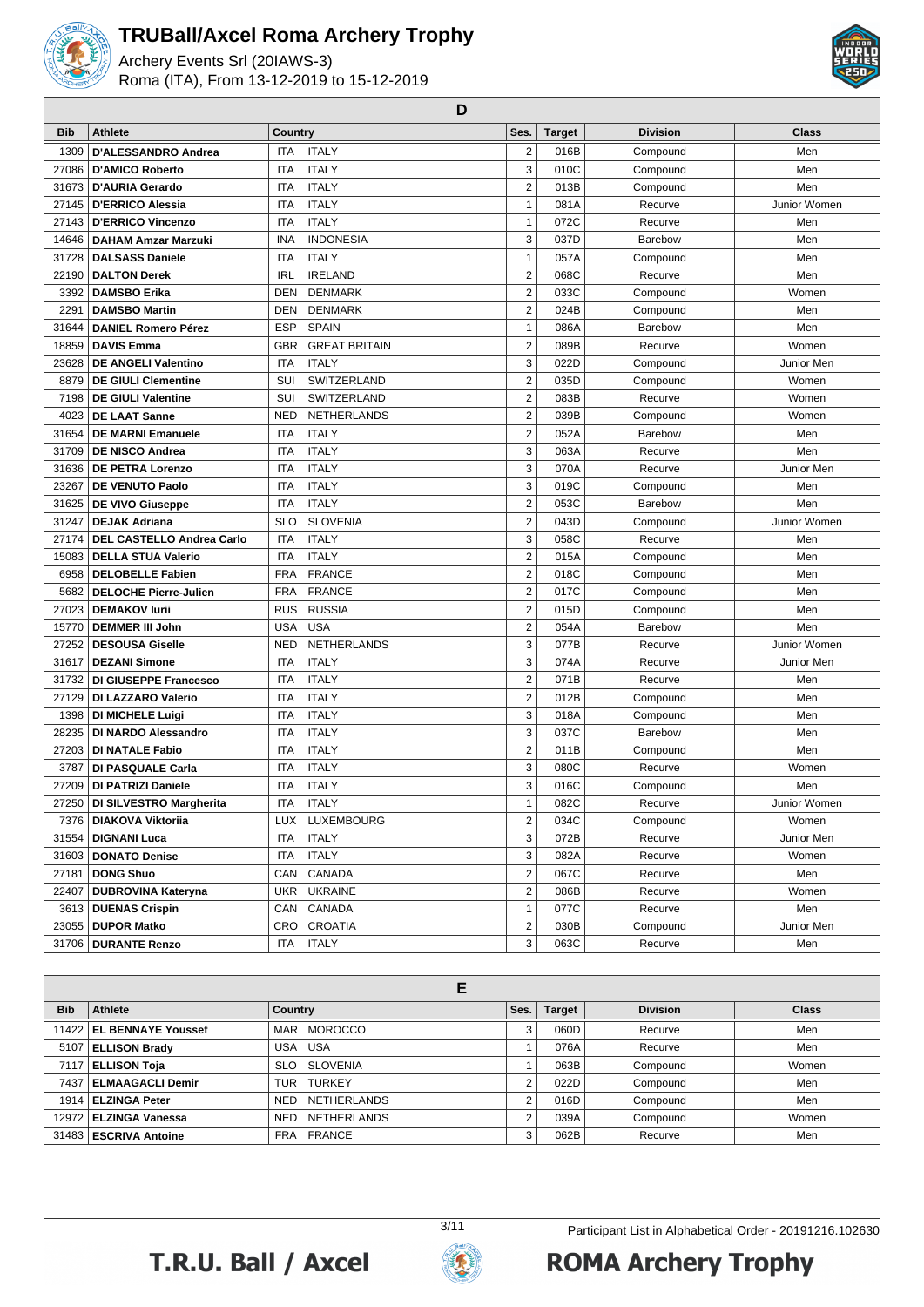

Archery Events Srl (20IAWS-3) Roma (ITA), From 13-12-2019 to 15-12-2019



**D**

| <b>Bib</b> | <b>Athlete</b>                   | Country                            | Ses.                    | <b>Target</b> | <b>Division</b> | <b>Class</b> |
|------------|----------------------------------|------------------------------------|-------------------------|---------------|-----------------|--------------|
| 1309       | D'ALESSANDRO Andrea              | <b>ITA</b><br><b>ITALY</b>         | $\overline{2}$          | 016B          | Compound        | Men          |
| 27086      | <b>D'AMICO Roberto</b>           | <b>ITALY</b><br><b>ITA</b>         | 3                       | 010C          | Compound        | Men          |
| 31673      | <b>D'AURIA Gerardo</b>           | <b>ITALY</b><br>ITA                | $\overline{2}$          | 013B          | Compound        | Men          |
| 27145      | <b>D'ERRICO Alessia</b>          | <b>ITA</b><br><b>ITALY</b>         | $\mathbf{1}$            | 081A          | Recurve         | Junior Women |
| 27143      | <b>D'ERRICO Vincenzo</b>         | <b>ITALY</b><br><b>ITA</b>         | 1                       | 072C          | Recurve         | Men          |
| 14646      | DAHAM Amzar Marzuki              | <b>INDONESIA</b><br><b>INA</b>     | 3                       | 037D          | Barebow         | Men          |
| 31728      | <b>DALSASS Daniele</b>           | <b>ITALY</b><br><b>ITA</b>         | $\mathbf{1}$            | 057A          | Compound        | Men          |
| 22190      | <b>DALTON Derek</b>              | <b>IRL</b><br><b>IRELAND</b>       | $\overline{2}$          | 068C          | Recurve         | Men          |
| 3392       | <b>DAMSBO Erika</b>              | <b>DEN</b><br><b>DENMARK</b>       | $\mathbf 2$             | 033C          | Compound        | Women        |
| 2291       | <b>DAMSBO Martin</b>             | DEN<br><b>DENMARK</b>              | $\overline{2}$          | 024B          | Compound        | Men          |
| 31644      | <b>DANIEL Romero Pérez</b>       | <b>ESP</b><br><b>SPAIN</b>         | $\mathbf{1}$            | 086A          | Barebow         | Men          |
| 18859      | <b>DAVIS Emma</b>                | <b>GBR</b><br><b>GREAT BRITAIN</b> | $\overline{2}$          | 089B          | Recurve         | Women        |
| 23628      | <b>DE ANGELI Valentino</b>       | <b>ITA</b><br><b>ITALY</b>         | 3                       | 022D          | Compound        | Junior Men   |
| 8879       | <b>DE GIULI Clementine</b>       | SUI<br>SWITZERLAND                 | $\overline{2}$          | 035D          | Compound        | Women        |
| 7198       | <b>DE GIULI Valentine</b>        | SUI<br>SWITZERLAND                 | $\overline{2}$          | 083B          | Recurve         | Women        |
| 4023       | <b>DE LAAT Sanne</b>             | NETHERLANDS<br><b>NED</b>          | $\overline{2}$          | 039B          | Compound        | Women        |
| 31654      | <b>DE MARNI Emanuele</b>         | <b>ITA</b><br><b>ITALY</b>         | $\overline{2}$          | 052A          | Barebow         | Men          |
| 31709      | <b>DE NISCO Andrea</b>           | <b>ITALY</b><br>ITA                | 3                       | 063A          | Recurve         | Men          |
| 31636      | <b>DE PETRA Lorenzo</b>          | <b>ITALY</b><br>ITA                | 3                       | 070A          | Recurve         | Junior Men   |
| 23267      | <b>DE VENUTO Paolo</b>           | <b>ITALY</b><br>ITA                | 3                       | 019C          | Compound        | Men          |
| 31625      | DE VIVO Giuseppe                 | <b>ITALY</b><br>ITA                | $\overline{2}$          | 053C          | Barebow         | Men          |
| 31247      | <b>DEJAK Adriana</b>             | <b>SLO</b><br><b>SLOVENIA</b>      | $\overline{2}$          | 043D          | Compound        | Junior Women |
| 27174      | <b>DEL CASTELLO Andrea Carlo</b> | <b>ITALY</b><br>ITA                | 3                       | 058C          | Recurve         | Men          |
| 15083      | <b>DELLA STUA Valerio</b>        | <b>ITALY</b><br><b>ITA</b>         | $\overline{2}$          | 015A          | Compound        | Men          |
| 6958       | <b>DELOBELLE Fabien</b>          | <b>FRANCE</b><br><b>FRA</b>        | $\overline{2}$          | 018C          | Compound        | Men          |
| 5682       | <b>DELOCHE Pierre-Julien</b>     | <b>FRANCE</b><br>FRA               | $\overline{2}$          | 017C          | Compound        | Men          |
| 27023      | <b>DEMAKOV lurii</b>             | <b>RUSSIA</b><br><b>RUS</b>        | $\overline{2}$          | 015D          | Compound        | Men          |
| 15770      | <b>DEMMER III John</b>           | <b>USA</b><br><b>USA</b>           | $\overline{2}$          | 054A          | Barebow         | Men          |
| 27252      | <b>DESOUSA Giselle</b>           | NETHERLANDS<br><b>NED</b>          | 3                       | 077B          | Recurve         | Junior Women |
| 31617      | <b>DEZANI Simone</b>             | <b>ITA</b><br><b>ITALY</b>         | 3                       | 074A          | Recurve         | Junior Men   |
| 31732      | <b>DI GIUSEPPE Francesco</b>     | <b>ITA</b><br><b>ITALY</b>         | $\overline{2}$          | 071B          | Recurve         | Men          |
| 27129      | DI LAZZARO Valerio               | <b>ITALY</b><br><b>ITA</b>         | $\overline{\mathbf{c}}$ | 012B          | Compound        | Men          |
| 1398       | <b>DI MICHELE Luigi</b>          | <b>ITALY</b><br>ITA                | 3                       | 018A          | Compound        | Men          |
| 28235      | DI NARDO Alessandro              | <b>ITALY</b><br><b>ITA</b>         | 3                       | 037C          | Barebow         | Men          |
| 27203      | <b>DI NATALE Fabio</b>           | <b>ITALY</b><br>ITA                | $\overline{2}$          | 011B          | Compound        | Men          |
| 3787       | DI PASQUALE Carla                | <b>ITALY</b><br><b>ITA</b>         | 3                       | 080C          | Recurve         | Women        |
| 27209      | <b>DI PATRIZI Daniele</b>        | <b>ITALY</b><br><b>ITA</b>         | 3                       | 016C          | Compound        | Men          |
|            | 27250   DI SILVESTRO Margherita  | <b>ITALY</b><br>ITA                | $\mathbf{1}$            | 082C          | Recurve         | Junior Women |
|            | 7376   DIAKOVA Viktoriia         | LUX LUXEMBOURG                     | $\overline{2}$          | 034C          | Compound        | Women        |
| 31554      | <b>DIGNANI Luca</b>              | <b>ITA</b><br><b>ITALY</b>         | 3                       | 072B          | Recurve         | Junior Men   |
|            | 31603   DONATO Denise            | <b>ITALY</b><br>ITA                | 3                       | 082A          | Recurve         | Women        |
| 27181      | <b>DONG Shuo</b>                 | CANADA<br>CAN                      | $\overline{c}$          | 067C          | Recurve         | Men          |
| 22407      | <b>DUBROVINA Kateryna</b>        | <b>UKRAINE</b><br>UKR              | $\mathbf 2$             | 086B          | Recurve         | Women        |
|            | 3613   DUENAS Crispin            | CANADA<br>CAN                      | $\mathbf{1}$            | 077C          | Recurve         | Men          |
|            | 23055   DUPOR Matko              | CRO CROATIA                        | $\overline{2}$          | 030B          | Compound        | Junior Men   |
|            | 31706   DURANTE Renzo            | ITA ITALY                          | 3                       | 063C          | Recurve         | Men          |

| <b>Bib</b> | Athlete                    | Country            | Ses. | <b>Target</b> | <b>Division</b> | <b>Class</b> |  |  |  |
|------------|----------------------------|--------------------|------|---------------|-----------------|--------------|--|--|--|
|            | 11422   EL BENNAYE Youssef | MAR MOROCCO        | 3    | 060D          | Recurve         | Men          |  |  |  |
|            | 5107 ELLISON Brady         | USA USA            |      | 076A          | Recurve         | Men          |  |  |  |
|            | 7117 ELLISON Toja          | SLO SLOVENIA       |      | 063B          | Compound        | Women        |  |  |  |
|            | 7437   ELMAAGACLI Demir    | TUR TURKEY         |      | 022D          | Compound        | Men          |  |  |  |
|            | 1914   ELZINGA Peter       | NETHERLANDS<br>NED | っ    | 016D          | Compound        | Men          |  |  |  |
|            | 12972   ELZINGA Vanessa    | NETHERLANDS<br>NED | っ    | 039A          | Compound        | Women        |  |  |  |
|            | 31483   ESCRIVA Antoine    | FRA FRANCE         | 3    | 062B          | Recurve         | Men          |  |  |  |



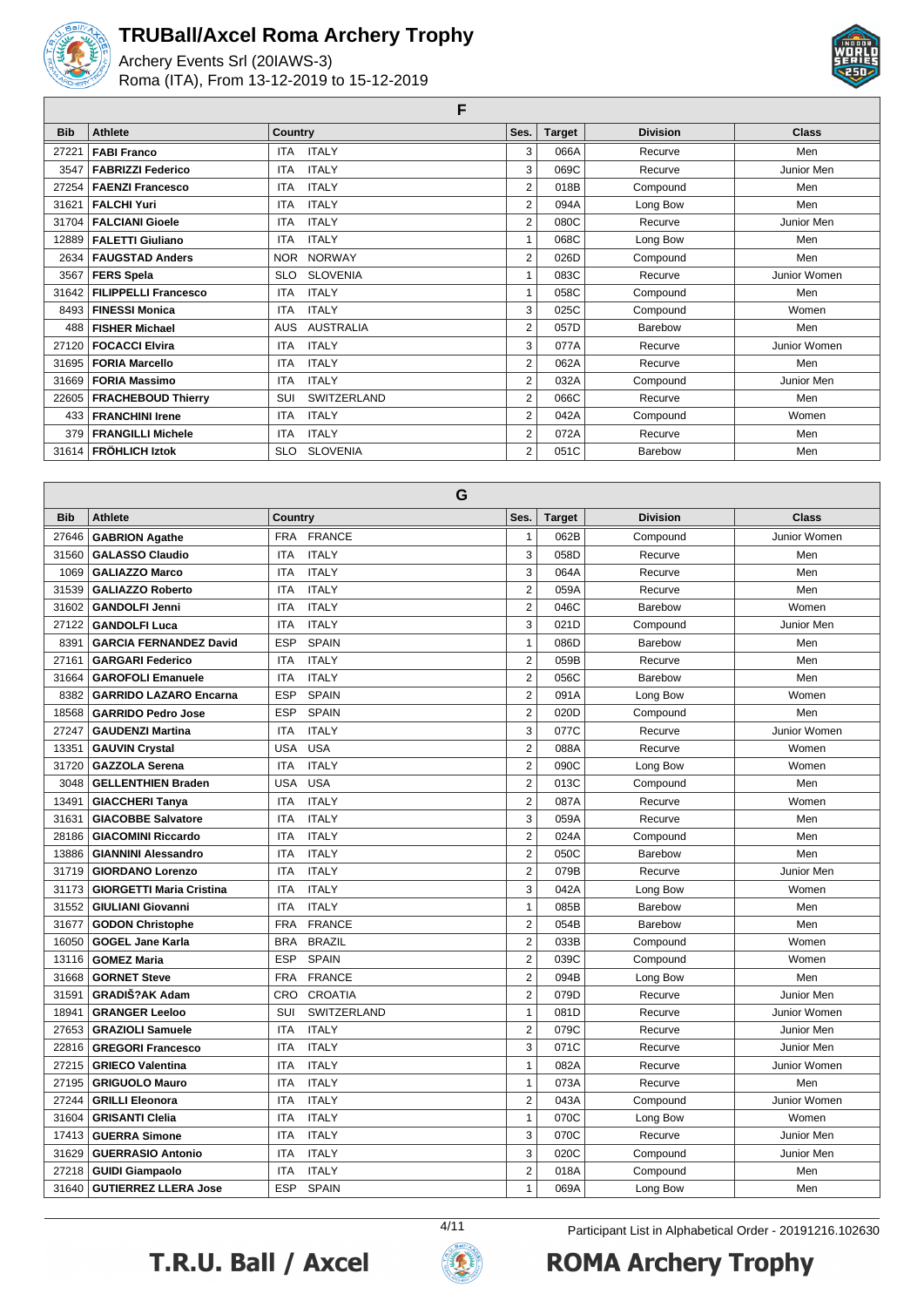

Archery Events Srl (20IAWS-3) Roma (ITA), From 13-12-2019 to 15-12-2019



**F**

| <b>Bib</b> | <b>Athlete</b>              | Country                       | Ses.           | <b>Target</b> | <b>Division</b> | <b>Class</b> |
|------------|-----------------------------|-------------------------------|----------------|---------------|-----------------|--------------|
| 27221      | <b>FABI Franco</b>          | <b>ITALY</b><br><b>ITA</b>    | 3              | 066A          | Recurve         | Men          |
| 3547       | <b>FABRIZZI Federico</b>    | <b>ITALY</b><br><b>ITA</b>    | 3              | 069C          | Recurve         | Junior Men   |
| 27254      | <b>FAENZI Francesco</b>     | <b>ITALY</b><br>ITA           | 2              | 018B          | Compound        | Men          |
| 31621      | <b>FALCHI Yuri</b>          | <b>ITALY</b><br>ITA.          | 2              | 094A          | Long Bow        | Men          |
| 31704      | <b>FALCIANI Gioele</b>      | <b>ITALY</b><br><b>ITA</b>    | 2              | 080C          | Recurve         | Junior Men   |
| 12889      | <b>FALETTI Giuliano</b>     | <b>ITALY</b><br><b>ITA</b>    |                | 068C          | Long Bow        | Men          |
| 2634       | <b>FAUGSTAD Anders</b>      | NOR NORWAY                    | 2              | 026D          | Compound        | Men          |
| 3567       | <b>FERS Spela</b>           | <b>SLOVENIA</b><br><b>SLO</b> |                | 083C          | Recurve         | Junior Women |
| 31642      | <b>FILIPPELLI Francesco</b> | <b>ITALY</b><br>ITA.          |                | 058C          | Compound        | Men          |
| 8493       | <b>FINESSI Monica</b>       | <b>ITALY</b><br><b>ITA</b>    | 3              | 025C          | Compound        | Women        |
| 488        | <b>FISHER Michael</b>       | <b>AUSTRALIA</b><br>AUS       | 2              | 057D          | Barebow         | Men          |
| 27120      | <b>FOCACCI Elvira</b>       | <b>ITALY</b><br><b>ITA</b>    | 3              | 077A          | Recurve         | Junior Women |
| 31695      | <b>FORIA Marcello</b>       | <b>ITALY</b><br><b>ITA</b>    | 2              | 062A          | Recurve         | Men          |
| 31669      | <b>FORIA Massimo</b>        | <b>ITALY</b><br><b>ITA</b>    | $\overline{2}$ | 032A          | Compound        | Junior Men   |
| 22605      | <b>FRACHEBOUD Thierry</b>   | SWITZERLAND<br>SUI            | 2              | 066C          | Recurve         | Men          |
| 433        | <b>FRANCHINI Irene</b>      | <b>ITALY</b><br><b>ITA</b>    | 2              | 042A          | Compound        | Women        |
| 379        | <b>FRANGILLI Michele</b>    | <b>ITALY</b><br><b>ITA</b>    | 2              | 072A          | Recurve         | Men          |
| 31614      | <b>FRÖHLICH Iztok</b>       | <b>SLOVENIA</b><br><b>SLO</b> | 2              | 051C          | Barebow         | Men          |

|            | G                               |                              |                |               |                 |              |  |  |  |
|------------|---------------------------------|------------------------------|----------------|---------------|-----------------|--------------|--|--|--|
| <b>Bib</b> | <b>Athlete</b>                  | Country                      | Ses.           | <b>Target</b> | <b>Division</b> | <b>Class</b> |  |  |  |
| 27646      | <b>GABRION Agathe</b>           | <b>FRA</b><br><b>FRANCE</b>  | $\mathbf{1}$   | 062B          | Compound        | Junior Women |  |  |  |
| 31560      | <b>GALASSO Claudio</b>          | <b>ITALY</b><br><b>ITA</b>   | 3              | 058D          | Recurve         | Men          |  |  |  |
| 1069       | <b>GALIAZZO Marco</b>           | <b>ITALY</b><br><b>ITA</b>   | 3              | 064A          | Recurve         | Men          |  |  |  |
| 31539      | <b>GALIAZZO Roberto</b>         | <b>ITALY</b><br><b>ITA</b>   | $\overline{2}$ | 059A          | Recurve         | Men          |  |  |  |
| 31602      | <b>GANDOLFI Jenni</b>           | <b>ITA</b><br><b>ITALY</b>   | $\overline{2}$ | 046C          | Barebow         | Women        |  |  |  |
| 27122      | <b>GANDOLFI Luca</b>            | <b>ITA</b><br><b>ITALY</b>   | 3              | 021D          | Compound        | Junior Men   |  |  |  |
| 8391       | <b>GARCIA FERNANDEZ David</b>   | <b>ESP</b><br><b>SPAIN</b>   | $\mathbf{1}$   | 086D          | Barebow         | Men          |  |  |  |
| 27161      | <b>GARGARI Federico</b>         | <b>ITA</b><br><b>ITALY</b>   | $\overline{2}$ | 059B          | Recurve         | Men          |  |  |  |
| 31664      | <b>GAROFOLI Emanuele</b>        | <b>ITALY</b><br><b>ITA</b>   | $\overline{2}$ | 056C          | Barebow         | Men          |  |  |  |
| 8382       | <b>GARRIDO LAZARO Encarna</b>   | <b>SPAIN</b><br><b>ESP</b>   | $\overline{2}$ | 091A          | Long Bow        | Women        |  |  |  |
| 18568      | <b>GARRIDO Pedro Jose</b>       | <b>ESP</b><br><b>SPAIN</b>   | $\overline{2}$ | 020D          | Compound        | Men          |  |  |  |
| 27247      | <b>GAUDENZI Martina</b>         | <b>ITALY</b><br><b>ITA</b>   | 3              | 077C          | Recurve         | Junior Women |  |  |  |
| 13351      | <b>GAUVIN Crystal</b>           | <b>USA</b><br><b>USA</b>     | $\overline{2}$ | 088A          | Recurve         | Women        |  |  |  |
| 31720      | <b>GAZZOLA Serena</b>           | <b>ITALY</b><br><b>ITA</b>   | $\overline{2}$ | 090C          | Long Bow        | Women        |  |  |  |
| 3048       | <b>GELLENTHIEN Braden</b>       | <b>USA</b><br><b>USA</b>     | $\overline{2}$ | 013C          | Compound        | Men          |  |  |  |
| 13491      | <b>GIACCHERI Tanya</b>          | <b>ITALY</b><br><b>ITA</b>   | $\overline{2}$ | 087A          | Recurve         | Women        |  |  |  |
| 31631      | <b>GIACOBBE Salvatore</b>       | <b>ITALY</b><br><b>ITA</b>   | 3              | 059A          | Recurve         | Men          |  |  |  |
| 28186      | <b>GIACOMINI Riccardo</b>       | <b>ITALY</b><br><b>ITA</b>   | $\overline{2}$ | 024A          | Compound        | Men          |  |  |  |
| 13886      | <b>GIANNINI Alessandro</b>      | <b>ITA</b><br><b>ITALY</b>   | $\overline{2}$ | 050C          | Barebow         | Men          |  |  |  |
| 31719      | <b>GIORDANO Lorenzo</b>         | <b>ITALY</b><br><b>ITA</b>   | $\overline{2}$ | 079B          | Recurve         | Junior Men   |  |  |  |
| 31173      | <b>GIORGETTI Maria Cristina</b> | <b>ITALY</b><br><b>ITA</b>   | 3              | 042A          | Long Bow        | Women        |  |  |  |
| 31552      | <b>GIULIANI Giovanni</b>        | <b>ITALY</b><br><b>ITA</b>   | $\mathbf{1}$   | 085B          | Barebow         | Men          |  |  |  |
| 31677      | <b>GODON Christophe</b>         | <b>FRA</b><br><b>FRANCE</b>  | $\overline{2}$ | 054B          | Barebow         | Men          |  |  |  |
| 16050      | <b>GOGEL Jane Karla</b>         | <b>BRA</b><br><b>BRAZIL</b>  | $\overline{2}$ | 033B          | Compound        | Women        |  |  |  |
| 13116      | <b>GOMEZ Maria</b>              | <b>ESP</b><br><b>SPAIN</b>   | $\overline{2}$ | 039C          | Compound        | Women        |  |  |  |
| 31668      | <b>GORNET Steve</b>             | <b>FRANCE</b><br><b>FRA</b>  | $\overline{2}$ | 094B          | Long Bow        | Men          |  |  |  |
| 31591      | <b>GRADIŠ?AK Adam</b>           | <b>CRO</b><br><b>CROATIA</b> | $\overline{2}$ | 079D          | Recurve         | Junior Men   |  |  |  |
| 18941      | <b>GRANGER Leeloo</b>           | SUI<br>SWITZERLAND           | $\mathbf{1}$   | 081D          | Recurve         | Junior Women |  |  |  |
| 27653      | <b>GRAZIOLI Samuele</b>         | <b>ITALY</b><br><b>ITA</b>   | $\overline{2}$ | 079C          | Recurve         | Junior Men   |  |  |  |
| 22816      | <b>GREGORI Francesco</b>        | <b>ITALY</b><br><b>ITA</b>   | 3              | 071C          | Recurve         | Junior Men   |  |  |  |
| 27215      | <b>GRIECO Valentina</b>         | <b>ITALY</b><br><b>ITA</b>   | $\mathbf{1}$   | 082A          | Recurve         | Junior Women |  |  |  |
| 27195      | <b>GRIGUOLO Mauro</b>           | <b>ITALY</b><br><b>ITA</b>   | $\mathbf{1}$   | 073A          | Recurve         | Men          |  |  |  |
| 27244      | <b>GRILLI Eleonora</b>          | <b>ITALY</b><br><b>ITA</b>   | $\overline{2}$ | 043A          | Compound        | Junior Women |  |  |  |
| 31604      | <b>GRISANTI Clelia</b>          | <b>ITALY</b><br><b>ITA</b>   | $\mathbf{1}$   | 070C          | Long Bow        | Women        |  |  |  |
| 17413      | <b>GUERRA Simone</b>            | <b>ITALY</b><br><b>ITA</b>   | 3              | 070C          | Recurve         | Junior Men   |  |  |  |
| 31629      | <b>GUERRASIO Antonio</b>        | <b>ITALY</b><br><b>ITA</b>   | 3              | 020C          | Compound        | Junior Men   |  |  |  |
| 27218      | <b>GUIDI Giampaolo</b>          | <b>ITALY</b><br><b>ITA</b>   | $\overline{2}$ | 018A          | Compound        | Men          |  |  |  |
| 31640      | <b>GUTIERREZ LLERA Jose</b>     | <b>ESP</b><br><b>SPAIN</b>   | $\mathbf{1}$   | 069A          | Long Bow        | Men          |  |  |  |





4/11 Participant List in Alphabetical Order - 20191216.102630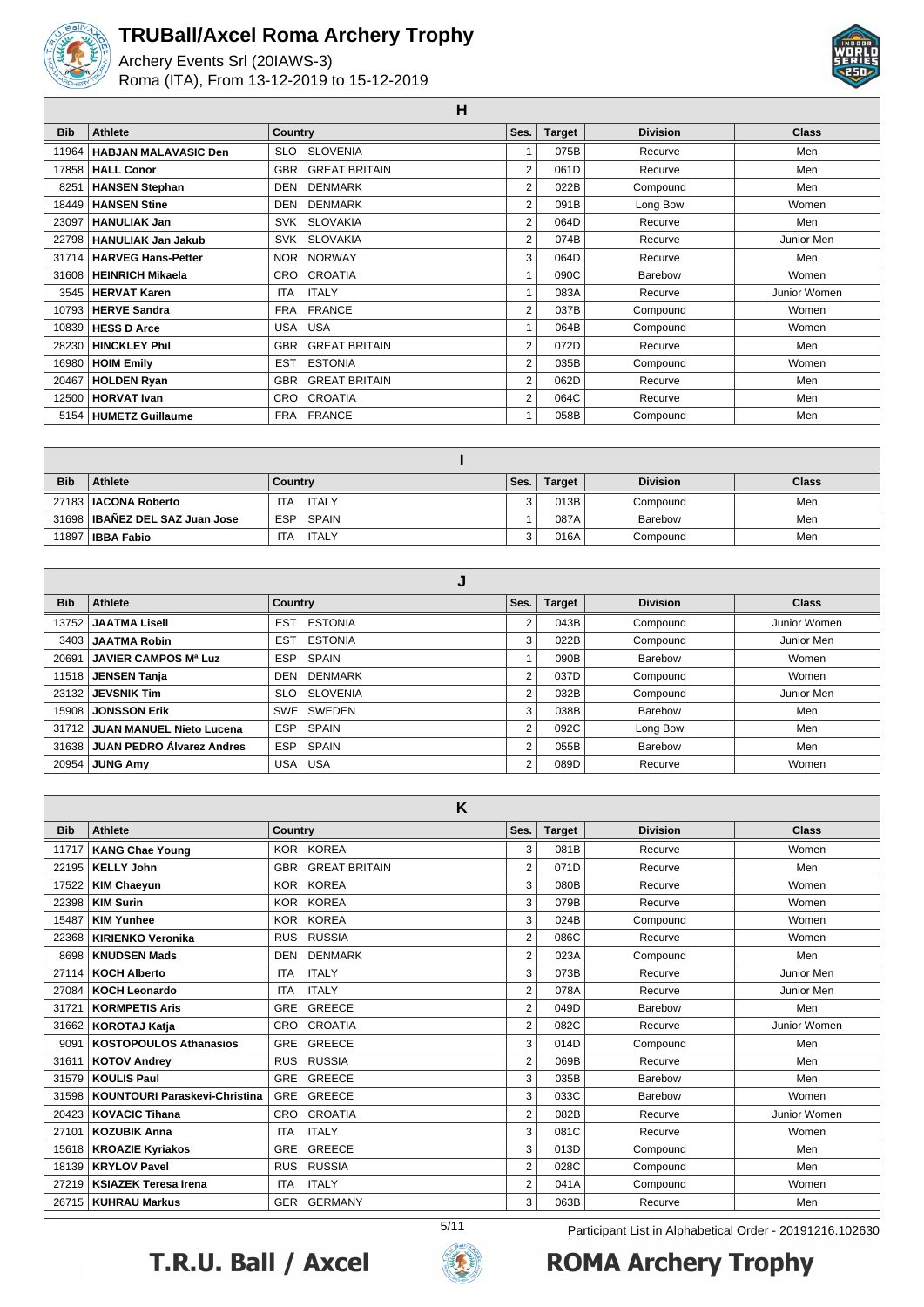

Archery Events Srl (20IAWS-3) Roma (ITA), From 13-12-2019 to 15-12-2019



**H**

| <b>Bib</b> | <b>Athlete</b>              | Country                      | Ses.           | <b>Target</b> | <b>Division</b> | <b>Class</b> |
|------------|-----------------------------|------------------------------|----------------|---------------|-----------------|--------------|
| 11964      | <b>HABJAN MALAVASIC Den</b> | <b>SLOVENIA</b><br>SLO.      |                | 075B          | Recurve         | Men          |
| 17858      | <b>HALL Conor</b>           | <b>GREAT BRITAIN</b><br>GBR  | 2              | 061D          | Recurve         | Men          |
| 8251       | <b>HANSEN Stephan</b>       | <b>DENMARK</b><br><b>DEN</b> | 2              | 022B          | Compound        | Men          |
| 18449      | <b>HANSEN Stine</b>         | <b>DENMARK</b><br>DEN        | 2              | 091B          | Long Bow        | Women        |
| 23097      | <b>HANULIAK Jan</b>         | SVK SLOVAKIA                 | $\overline{2}$ | 064D          | Recurve         | Men          |
|            | 22798   HANULIAK Jan Jakub  | SVK SLOVAKIA                 | 2              | 074B          | Recurve         | Junior Men   |
|            | 31714   HARVEG Hans-Petter  | NOR NORWAY                   | 3              | 064D          | Recurve         | Men          |
| 31608      | <b>HEINRICH Mikaela</b>     | CRO CROATIA                  |                | 090C          | Barebow         | Women        |
| 3545       | <b>HERVAT Karen</b>         | <b>ITALY</b><br><b>ITA</b>   |                | 083A          | Recurve         | Junior Women |
|            | 10793   HERVE Sandra        | <b>FRANCE</b><br><b>FRA</b>  | $\overline{2}$ | 037B          | Compound        | Women        |
| 10839      | <b>HESS D Arce</b>          | USA USA                      | 1              | 064B          | Compound        | Women        |
| 28230      | <b>HINCKLEY Phil</b>        | <b>GREAT BRITAIN</b><br>GBR  | 2              | 072D          | Recurve         | Men          |
| 16980      | <b>HOIM Emily</b>           | <b>ESTONIA</b><br>EST        | $\overline{2}$ | 035B          | Compound        | Women        |
| 20467      | <b>HOLDEN Ryan</b>          | <b>GREAT BRITAIN</b><br>GBR  | 2              | 062D          | Recurve         | Men          |
| 12500      | <b>HORVAT Ivan</b>          | CRO CROATIA                  | $\overline{2}$ | 064C          | Recurve         | Men          |
|            | 5154   HUMETZ Guillaume     | FRA FRANCE                   |                | 058B          | Compound        | Men          |

| <b>Bib</b> | Athlete                          | Country             | Ses. | Target | <b>Division</b> | <b>Class</b> |
|------------|----------------------------------|---------------------|------|--------|-----------------|--------------|
|            | 27183   IACONA Roberto           | ITALY<br><b>ITA</b> |      | 013B   | Compound        | Men          |
|            | 31698   IBAÑEZ DEL SAZ Juan Jose | ESP SPAIN           |      | 087A   | Barebow         | Men          |
|            | 11897   <b>IBBA Fabio</b>        | <b>ITA</b><br>ITALY |      | 016A   | Compound        | Men          |

| <b>Bib</b> | Athlete                         | Country                      | Ses.           | <b>Target</b> | <b>Division</b> | <b>Class</b> |  |  |  |
|------------|---------------------------------|------------------------------|----------------|---------------|-----------------|--------------|--|--|--|
| 13752 l    | <b>JAATMA Lisell</b>            | <b>ESTONIA</b><br><b>EST</b> | 2              | 043B          | Compound        | Junior Women |  |  |  |
|            | 3403 JAATMA Robin               | <b>ESTONIA</b><br><b>EST</b> | 3              | 022B          | Compound        | Junior Men   |  |  |  |
| 20691      | <b>JAVIER CAMPOS Mª Luz</b>     | SPAIN<br><b>ESP</b>          |                | 090B          | Barebow         | Women        |  |  |  |
|            | 11518 JENSEN Tanja              | DEN DENMARK                  | $\overline{2}$ | 037D          | Compound        | Women        |  |  |  |
|            | $23132$ JEVSNIK Tim             | SLO SLOVENIA                 | 2              | 032B          | Compound        | Junior Men   |  |  |  |
|            | 15908 JONSSON Erik              | SWE SWEDEN                   | 3              | 038B          | Barebow         | Men          |  |  |  |
|            | 31712 JUAN MANUEL Nieto Lucena  | ESP SPAIN                    | 2              | 092C          | Long Bow        | Men          |  |  |  |
|            | 31638 JUAN PEDRO Álvarez Andres | ESP SPAIN                    | 2              | 055B          | Barebow         | Men          |  |  |  |
| 20954      | <b>JUNG Amy</b>                 | USA USA                      | 2              | 089D          | Recurve         | Women        |  |  |  |

|            | K                             |                                    |      |               |                 |              |  |  |  |  |
|------------|-------------------------------|------------------------------------|------|---------------|-----------------|--------------|--|--|--|--|
| <b>Bib</b> | <b>Athlete</b>                | <b>Country</b>                     | Ses. | <b>Target</b> | <b>Division</b> | Class        |  |  |  |  |
| 11717      | <b>KANG Chae Young</b>        | KOR KOREA                          | 3    | 081B          | Recurve         | Women        |  |  |  |  |
| 22195      | <b>KELLY John</b>             | <b>GREAT BRITAIN</b><br><b>GBR</b> | 2    | 071D          | Recurve         | Men          |  |  |  |  |
| 17522      | <b>KIM Chaeyun</b>            | <b>KOREA</b><br><b>KOR</b>         | 3    | 080B          | Recurve         | Women        |  |  |  |  |
| 22398      | <b>KIM Surin</b>              | <b>KOREA</b><br><b>KOR</b>         | 3    | 079B          | Recurve         | Women        |  |  |  |  |
| 15487      | <b>KIM Yunhee</b>             | <b>KOREA</b><br><b>KOR</b>         | 3    | 024B          | Compound        | Women        |  |  |  |  |
| 22368      | <b>KIRIENKO Veronika</b>      | <b>RUSSIA</b><br><b>RUS</b>        | 2    | 086C          | Recurve         | Women        |  |  |  |  |
| 8698       | <b>KNUDSEN Mads</b>           | <b>DENMARK</b><br><b>DEN</b>       | 2    | 023A          | Compound        | Men          |  |  |  |  |
| 27114      | <b>KOCH Alberto</b>           | <b>ITALY</b><br><b>ITA</b>         | 3    | 073B          | Recurve         | Junior Men   |  |  |  |  |
| 27084      | <b>KOCH Leonardo</b>          | <b>ITALY</b><br><b>ITA</b>         | 2    | 078A          | Recurve         | Junior Men   |  |  |  |  |
| 31721      | <b>KORMPETIS Aris</b>         | <b>GREECE</b><br><b>GRE</b>        | 2    | 049D          | Barebow         | Men          |  |  |  |  |
| 31662      | <b>KOROTAJ Katja</b>          | CROATIA<br><b>CRO</b>              | 2    | 082C          | Recurve         | Junior Women |  |  |  |  |
| 9091       | <b>KOSTOPOULOS Athanasios</b> | GREECE<br><b>GRE</b>               | 3    | 014D          | Compound        | Men          |  |  |  |  |
| 31611      | <b>KOTOV Andrey</b>           | <b>RUSSIA</b><br><b>RUS</b>        | 2    | 069B          | Recurve         | Men          |  |  |  |  |
| 31579      | <b>KOULIS Paul</b>            | <b>GREECE</b><br><b>GRE</b>        | 3    | 035B          | Barebow         | Men          |  |  |  |  |
| 31598      | KOUNTOURI Paraskevi-Christina | <b>GREECE</b><br>GRE               | 3    | 033C          | Barebow         | Women        |  |  |  |  |
| 20423      | <b>KOVACIC Tihana</b>         | CROATIA<br><b>CRO</b>              | 2    | 082B          | Recurve         | Junior Women |  |  |  |  |
| 27101      | <b>KOZUBIK Anna</b>           | <b>ITALY</b><br><b>ITA</b>         | 3    | 081C          | Recurve         | Women        |  |  |  |  |
| 15618      | <b>KROAZIE Kyriakos</b>       | <b>GREECE</b><br><b>GRE</b>        | 3    | 013D          | Compound        | Men          |  |  |  |  |
| 18139      | <b>KRYLOV Pavel</b>           | <b>RUSSIA</b><br><b>RUS</b>        | 2    | 028C          | Compound        | Men          |  |  |  |  |
| 27219      | <b>KSIAZEK Teresa Irena</b>   | <b>ITALY</b><br><b>ITA</b>         | 2    | 041A          | Compound        | Women        |  |  |  |  |
|            | 26715   KUHRAU Markus         | <b>GERMANY</b><br><b>GER</b>       | 3    | 063B          | Recurve         | Men          |  |  |  |  |





5/11 Participant List in Alphabetical Order - 20191216.102630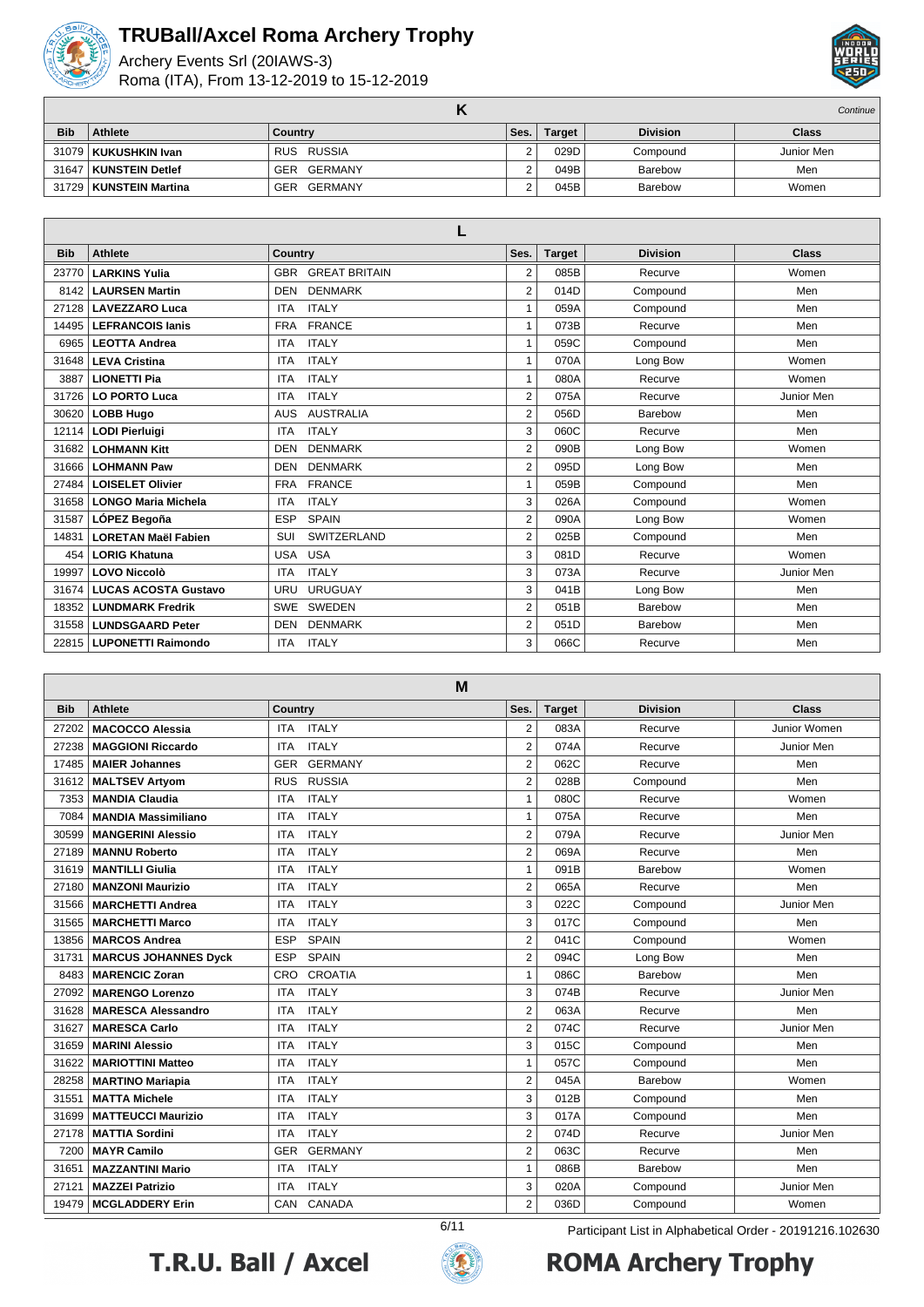

Archery Events Srl (20IAWS-3) Roma (ITA), From 13-12-2019 to 15-12-2019



|            |                          |                       |      |               |                 | Continue     |
|------------|--------------------------|-----------------------|------|---------------|-----------------|--------------|
| <b>Bib</b> | <b>Athlete</b>           | Country               | Ses. | <b>Target</b> | <b>Division</b> | <b>Class</b> |
|            | 31079   KUKUSHKIN Ivan   | RUS RUSSIA            | ົ    | 029D          | Compound        | Junior Men   |
|            | 31647   KUNSTEIN Detlef  | GER<br>GERMANY        | ົ    | 049B          | Barebow         | Men          |
|            | 31729   KUNSTEIN Martina | <b>GER</b><br>GERMANY |      | 045B          | Barebow         | Women        |

| <b>Bib</b> | <b>Athlete</b>              | <b>Country</b>                     | Ses.           | <b>Target</b> | <b>Division</b> | <b>Class</b> |  |  |  |
|------------|-----------------------------|------------------------------------|----------------|---------------|-----------------|--------------|--|--|--|
| 23770      | <b>LARKINS Yulia</b>        | <b>GREAT BRITAIN</b><br><b>GBR</b> | 2              | 085B          | Recurve         | Women        |  |  |  |
| 8142       | <b>LAURSEN Martin</b>       | <b>DENMARK</b><br><b>DEN</b>       | 2              | 014D          | Compound        | Men          |  |  |  |
| 27128      | <b>LAVEZZARO Luca</b>       | <b>ITALY</b><br><b>ITA</b>         | 1              | 059A          | Compound        | Men          |  |  |  |
| 14495      | <b>LEFRANCOIS lanis</b>     | <b>FRANCE</b><br><b>FRA</b>        | $\mathbf{1}$   | 073B          | Recurve         | Men          |  |  |  |
| 6965       | <b>LEOTTA Andrea</b>        | <b>ITALY</b><br><b>ITA</b>         | $\mathbf{1}$   | 059C          | Compound        | Men          |  |  |  |
| 31648      | <b>LEVA Cristina</b>        | <b>ITALY</b><br><b>ITA</b>         | $\mathbf{1}$   | 070A          | Long Bow        | Women        |  |  |  |
| 3887       | <b>LIONETTI Pia</b>         | <b>ITALY</b><br><b>ITA</b>         | $\mathbf{1}$   | 080A          | Recurve         | Women        |  |  |  |
| 31726      | <b>LO PORTO Luca</b>        | <b>ITALY</b><br><b>ITA</b>         | $\overline{2}$ | 075A          | Recurve         | Junior Men   |  |  |  |
| 30620      | <b>LOBB Hugo</b>            | <b>AUSTRALIA</b><br><b>AUS</b>     | $\overline{2}$ | 056D          | Barebow         | Men          |  |  |  |
| 12114      | <b>LODI Pierluigi</b>       | <b>ITALY</b><br><b>ITA</b>         | 3              | 060C          | Recurve         | Men          |  |  |  |
| 31682      | <b>LOHMANN Kitt</b>         | <b>DENMARK</b><br><b>DEN</b>       | $\overline{2}$ | 090B          | Long Bow        | Women        |  |  |  |
| 31666      | <b>LOHMANN Paw</b>          | <b>DENMARK</b><br><b>DEN</b>       | 2              | 095D          | Long Bow        | Men          |  |  |  |
| 27484      | <b>LOISELET Olivier</b>     | <b>FRANCE</b><br><b>FRA</b>        | $\mathbf{1}$   | 059B          | Compound        | Men          |  |  |  |
| 31658      | <b>LONGO Maria Michela</b>  | <b>ITALY</b><br><b>ITA</b>         | 3              | 026A          | Compound        | Women        |  |  |  |
| 31587      | LÓPEZ Begoña                | <b>ESP</b><br><b>SPAIN</b>         | $\overline{2}$ | 090A          | Long Bow        | Women        |  |  |  |
| 14831      | <b>LORETAN Maël Fabien</b>  | <b>SWITZERLAND</b><br>SUI          | $\overline{2}$ | 025B          | Compound        | Men          |  |  |  |
| 454        | <b>LORIG Khatuna</b>        | <b>USA</b><br><b>USA</b>           | 3              | 081D          | Recurve         | Women        |  |  |  |
| 19997      | <b>LOVO Niccolò</b>         | <b>ITALY</b><br><b>ITA</b>         | 3              | 073A          | Recurve         | Junior Men   |  |  |  |
| 31674      | <b>LUCAS ACOSTA Gustavo</b> | URUGUAY<br>URU                     | 3              | 041B          | Long Bow        | Men          |  |  |  |
| 18352      | <b>LUNDMARK Fredrik</b>     | SWEDEN<br><b>SWE</b>               | 2              | 051B          | Barebow         | Men          |  |  |  |
| 31558      | <b>LUNDSGAARD Peter</b>     | <b>DENMARK</b><br><b>DEN</b>       | 2              | 051D          | Barebow         | Men          |  |  |  |
| 22815      | <b>LUPONETTI Raimondo</b>   | <b>ITALY</b><br><b>ITA</b>         | 3              | 066C          | Recurve         | Men          |  |  |  |

**M Bib Athlete Country Ses. Target Division Class MACOCCO Alessia** ITA ITALY 2 083A Recurve Junior Women 27238 | MAGGIONI Riccardo | ITA ITALY | 2 074A Recurve Junior Men **MAIER Johannes** GER GERMANY 2 062C Recurve Men **MALTSEV Artyom** RUS RUSSIA 2 028B Compound Men **7353 MANDIA Claudia ITA ITALY** 1 080C Recurve Women **MANDIA Massimiliano** ITA ITALY 1 075A Recurve Men **MANGERINI Alessio** ITA ITALY 2 079A Recurve Junior Men **MANNU Roberto ITA ITALY 1782 121 069A Recurve Men MANTILLI Giulia** ITA ITALY 1 091B Barebow Women 27180 | **MANZONI Maurizio** | ITA ITALY | 2 | 065A Recurve | Men 31566 | MARCHETTI Andrea | ITA ITALY | 3 022C Compound | Junior Men 31565 | MARCHETTI Marco | ITA ITALY | 3 017C Compound | Men 13856 | MARCOS Andrea | ESP SPAIN | 2 041C Compound | Women 31731 | MARCUS JOHANNES Dyck | ESP SPAIN | 2 094C | Long Bow | Men 8483 MARENCIC Zoran CRO CROATIA 1 086C Barebow Men **MARENGO Lorenzo ITA ITALY** 3 074B Recurve Junior Men **MARESCA Alessandro** ITA ITALY 2 063A Recurve Men **MARESCA Carlo ITA ITALY 2** 074C Recurve Junior Men **MARINI Alessio** ITA ITALY 3 015C Compound Men 31622 | MARIOTTINI Matteo ITA ITALY 1 057C Compound Men **MARTINO Mariapia** ITA ITALY 2 045A Barebow Women **MATTA Michele** ITA ITALY 3 012B Compound Men **MATTEUCCI Maurizio** ITA ITALY 3 017A Compound Men **MATTIA Sordini** ITA ITALY 2 074D Recurve Junior Men 7200 | **MAYR Camilo** | GER GERMANY 2 | 063C | Recurve | Men **MAZZANTINI Mario** ITA ITALY 1 086B Barebow Men **MAZZEI Patrizio** ITA ITALY 3 020A Compound Junior Men **MCGLADDERY Erin** CAN CANADA 2 036D Compound Women





6/11 Participant List in Alphabetical Order - 20191216.102630**ROMA Archery Trophy**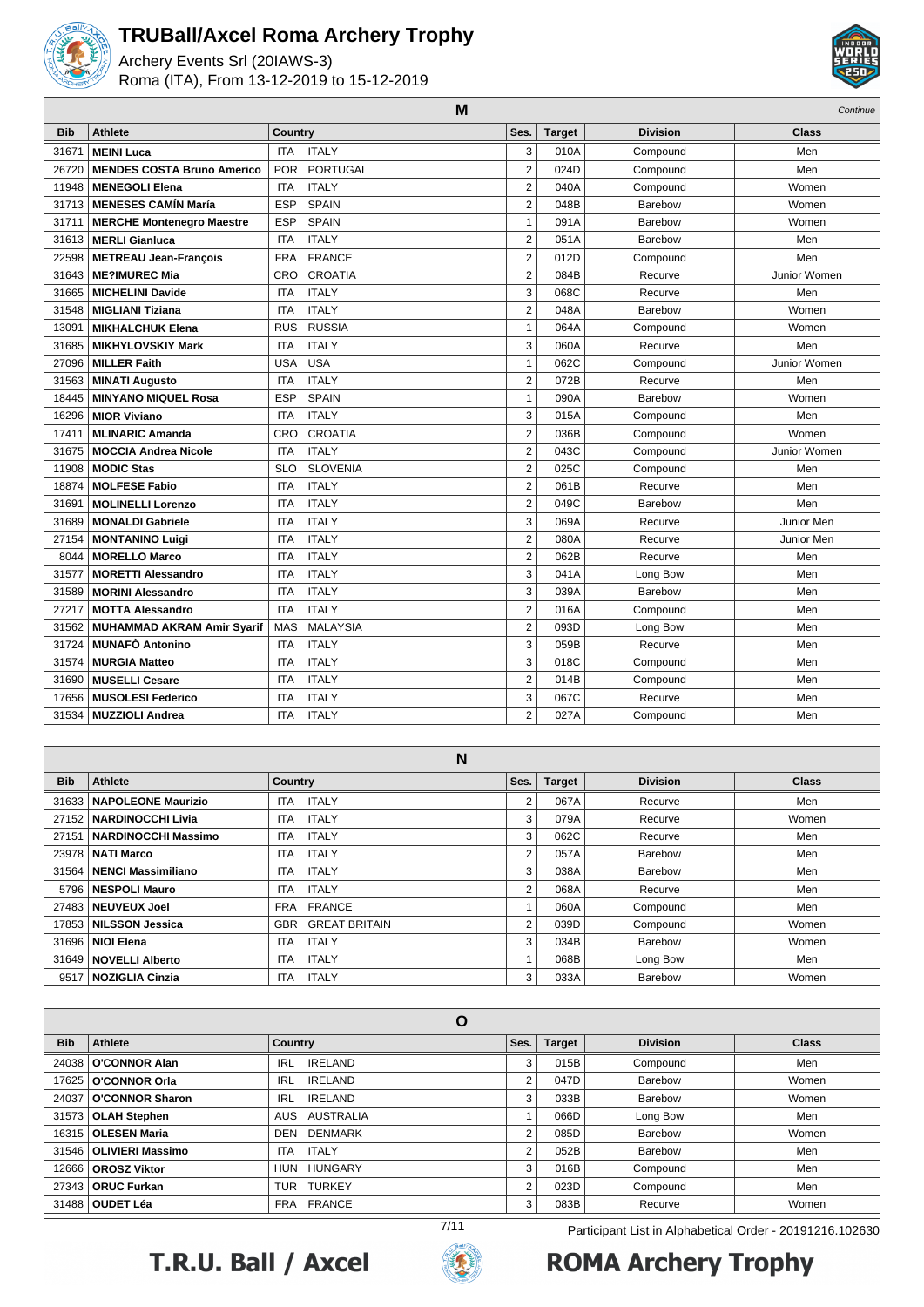

Archery Events Srl (20IAWS-3) Roma (ITA), From 13-12-2019 to 15-12-2019



|            | M                                 |                               |                |               |                 |              |  |
|------------|-----------------------------------|-------------------------------|----------------|---------------|-----------------|--------------|--|
| <b>Bib</b> | <b>Athlete</b>                    | <b>Country</b>                | Ses.           | <b>Target</b> | <b>Division</b> | <b>Class</b> |  |
| 31671      | <b>MEINI Luca</b>                 | <b>ITALY</b><br><b>ITA</b>    | 3              | 010A          | Compound        | Men          |  |
| 26720      | <b>MENDES COSTA Bruno Americo</b> | PORTUGAL<br><b>POR</b>        | $\overline{2}$ | 024D          | Compound        | Men          |  |
| 11948      | <b>MENEGOLI Elena</b>             | <b>ITALY</b><br><b>ITA</b>    | $\overline{2}$ | 040A          | Compound        | Women        |  |
| 31713      | <b>MENESES CAMIN María</b>        | <b>ESP</b><br><b>SPAIN</b>    | $\overline{2}$ | 048B          | Barebow         | Women        |  |
| 31711      | <b>MERCHE Montenegro Maestre</b>  | <b>ESP</b><br><b>SPAIN</b>    | 1              | 091A          | Barebow         | Women        |  |
| 31613      | <b>MERLI Gianluca</b>             | <b>ITA</b><br><b>ITALY</b>    | $\overline{2}$ | 051A          | Barebow         | Men          |  |
| 22598      | <b>METREAU Jean-Francois</b>      | <b>FRANCE</b><br><b>FRA</b>   | $\overline{2}$ | 012D          | Compound        | Men          |  |
| 31643      | <b>ME?IMUREC Mia</b>              | <b>CROATIA</b><br><b>CRO</b>  | $\overline{2}$ | 084B          | Recurve         | Junior Women |  |
| 31665      | <b>MICHELINI Davide</b>           | <b>ITALY</b><br><b>ITA</b>    | 3              | 068C          | Recurve         | Men          |  |
| 31548      | <b>MIGLIANI Tiziana</b>           | <b>ITALY</b><br><b>ITA</b>    | $\overline{2}$ | 048A          | Barebow         | Women        |  |
| 13091      | <b>MIKHALCHUK Elena</b>           | <b>RUSSIA</b><br><b>RUS</b>   | 1              | 064A          | Compound        | Women        |  |
| 31685      | <b>MIKHYLOVSKIY Mark</b>          | <b>ITALY</b><br><b>ITA</b>    | 3              | 060A          | Recurve         | Men          |  |
| 27096      | <b>MILLER Faith</b>               | <b>USA</b><br><b>USA</b>      | 1              | 062C          | Compound        | Junior Women |  |
| 31563      | <b>MINATI Augusto</b>             | <b>ITALY</b><br><b>ITA</b>    | $\overline{2}$ | 072B          | Recurve         | Men          |  |
| 18445      | <b>MINYANO MIQUEL Rosa</b>        | <b>ESP</b><br><b>SPAIN</b>    | 1              | 090A          | Barebow         | Women        |  |
| 16296      | <b>MIOR Viviano</b>               | <b>ITALY</b><br><b>ITA</b>    | 3              | 015A          | Compound        | Men          |  |
| 17411      | <b>MLINARIC Amanda</b>            | <b>CROATIA</b><br>CRO         | $\overline{2}$ | 036B          | Compound        | Women        |  |
| 31675      | <b>MOCCIA Andrea Nicole</b>       | <b>ITALY</b><br><b>ITA</b>    | $\overline{2}$ | 043C          | Compound        | Junior Women |  |
| 11908      | <b>MODIC Stas</b>                 | <b>SLOVENIA</b><br><b>SLO</b> | $\overline{2}$ | 025C          | Compound        | Men          |  |
| 18874      | <b>MOLFESE Fabio</b>              | <b>ITALY</b><br><b>ITA</b>    | $\overline{2}$ | 061B          | Recurve         | Men          |  |
| 31691      | <b>MOLINELLI Lorenzo</b>          | <b>ITALY</b><br><b>ITA</b>    | $\overline{2}$ | 049C          | Barebow         | Men          |  |
| 31689      | <b>MONALDI Gabriele</b>           | <b>ITALY</b><br><b>ITA</b>    | 3              | 069A          | Recurve         | Junior Men   |  |
| 27154      | <b>MONTANINO Luigi</b>            | <b>ITA</b><br><b>ITALY</b>    | $\overline{2}$ | 080A          | Recurve         | Junior Men   |  |
| 8044       | <b>MORELLO Marco</b>              | <b>ITALY</b><br><b>ITA</b>    | 2              | 062B          | Recurve         | Men          |  |
| 31577      | <b>MORETTI Alessandro</b>         | <b>ITALY</b><br><b>ITA</b>    | 3              | 041A          | Long Bow        | Men          |  |
| 31589      | <b>MORINI Alessandro</b>          | <b>ITALY</b><br><b>ITA</b>    | 3              | 039A          | Barebow         | Men          |  |
| 27217      | <b>MOTTA Alessandro</b>           | <b>ITALY</b><br><b>ITA</b>    | $\overline{2}$ | 016A          | Compound        | Men          |  |
| 31562      | MUHAMMAD AKRAM Amir Syarif        | <b>MALAYSIA</b><br><b>MAS</b> | $\overline{2}$ | 093D          | Long Bow        | Men          |  |
| 31724      | <b>MUNAFÒ Antonino</b>            | <b>ITALY</b><br><b>ITA</b>    | 3              | 059B          | Recurve         | Men          |  |
| 31574      | <b>MURGIA Matteo</b>              | <b>ITALY</b><br><b>ITA</b>    | 3              | 018C          | Compound        | Men          |  |
| 31690      | <b>MUSELLI Cesare</b>             | <b>ITALY</b><br><b>ITA</b>    | $\overline{2}$ | 014B          | Compound        | Men          |  |
| 17656      | <b>MUSOLESI Federico</b>          | <b>ITALY</b><br><b>ITA</b>    | 3              | 067C          | Recurve         | Men          |  |
| 31534      | <b>MUZZIOLI Andrea</b>            | <b>ITALY</b><br><b>ITA</b>    | $\overline{2}$ | 027A          | Compound        | Men          |  |

|            | N                           |                                    |      |               |                 |              |  |  |  |
|------------|-----------------------------|------------------------------------|------|---------------|-----------------|--------------|--|--|--|
| <b>Bib</b> | Athlete                     | <b>Country</b>                     | Ses. | <b>Target</b> | <b>Division</b> | <b>Class</b> |  |  |  |
|            | 31633   NAPOLEONE Maurizio  | <b>ITALY</b><br>ITA.               | 2    | 067A          | Recurve         | Men          |  |  |  |
|            | 27152   NARDINOCCHI Livia   | <b>ITALY</b><br><b>ITA</b>         | 3    | 079A          | Recurve         | Women        |  |  |  |
|            | 27151   NARDINOCCHI Massimo | <b>ITALY</b><br>ITA                | 3    | 062C          | Recurve         | Men          |  |  |  |
|            | 23978   NATI Marco          | <b>ITALY</b><br>ITA.               | 2    | 057A          | Barebow         | Men          |  |  |  |
|            | 31564   NENCI Massimiliano  | <b>ITALY</b><br><b>ITA</b>         | 3    | 038A          | Barebow         | Men          |  |  |  |
|            | 5796   NESPOLI Mauro        | <b>ITALY</b><br><b>ITA</b>         | 2    | 068A          | Recurve         | Men          |  |  |  |
|            | 27483 NEUVEUX Joel          | FRA FRANCE                         |      | 060A          | Compound        | Men          |  |  |  |
|            | 17853   NILSSON Jessica     | <b>GREAT BRITAIN</b><br><b>GBR</b> | 2    | 039D          | Compound        | Women        |  |  |  |
|            | 31696   NIOI Elena          | <b>ITALY</b><br><b>ITA</b>         | 3    | 034B          | Barebow         | Women        |  |  |  |
|            | 31649 NOVELLI Alberto       | <b>ITALY</b><br><b>ITA</b>         |      | 068B          | Long Bow        | Men          |  |  |  |
|            | 9517   NOZIGLIA Cinzia      | <b>ITALY</b><br><b>ITA</b>         | 3    | 033A          | Barebow         | Women        |  |  |  |

| O          |                          |                              |                |        |                 |              |  |
|------------|--------------------------|------------------------------|----------------|--------|-----------------|--------------|--|
| <b>Bib</b> | Athlete                  | <b>Country</b>               | Ses.           | Target | <b>Division</b> | <b>Class</b> |  |
| 24038      | <b>O'CONNOR Alan</b>     | <b>IRELAND</b><br><b>IRL</b> | 3              | 015B   | Compound        | Men          |  |
| 17625      | O'CONNOR Orla            | <b>IRELAND</b><br><b>IRL</b> | 2              | 047D   | Barebow         | Women        |  |
| 24037      | <b>O'CONNOR Sharon</b>   | <b>IRELAND</b><br><b>IRL</b> | 3              | 033B   | Barebow         | Women        |  |
| 31573      | <b>OLAH Stephen</b>      | AUS AUSTRALIA                |                | 066D   | Long Bow        | Men          |  |
| 16315      | <b>OLESEN Maria</b>      | DEN DENMARK                  | $\overline{2}$ | 085D   | Barebow         | Women        |  |
|            | 31546   OLIVIERI Massimo | <b>ITALY</b><br><b>ITA</b>   | 2              | 052B   | Barebow         | Men          |  |
| 12666      | <b>OROSZ Viktor</b>      | HUN HUNGARY                  | 3              | 016B   | Compound        | Men          |  |
| 27343      | <b>ORUC Furkan</b>       | <b>TURKEY</b><br><b>TUR</b>  | $\overline{2}$ | 023D   | Compound        | Men          |  |
|            | 31488   OUDET Léa        | FRA FRANCE                   | 3              | 083B   | Recurve         | Women        |  |





7/11 Participant List in Alphabetical Order - 20191216.102630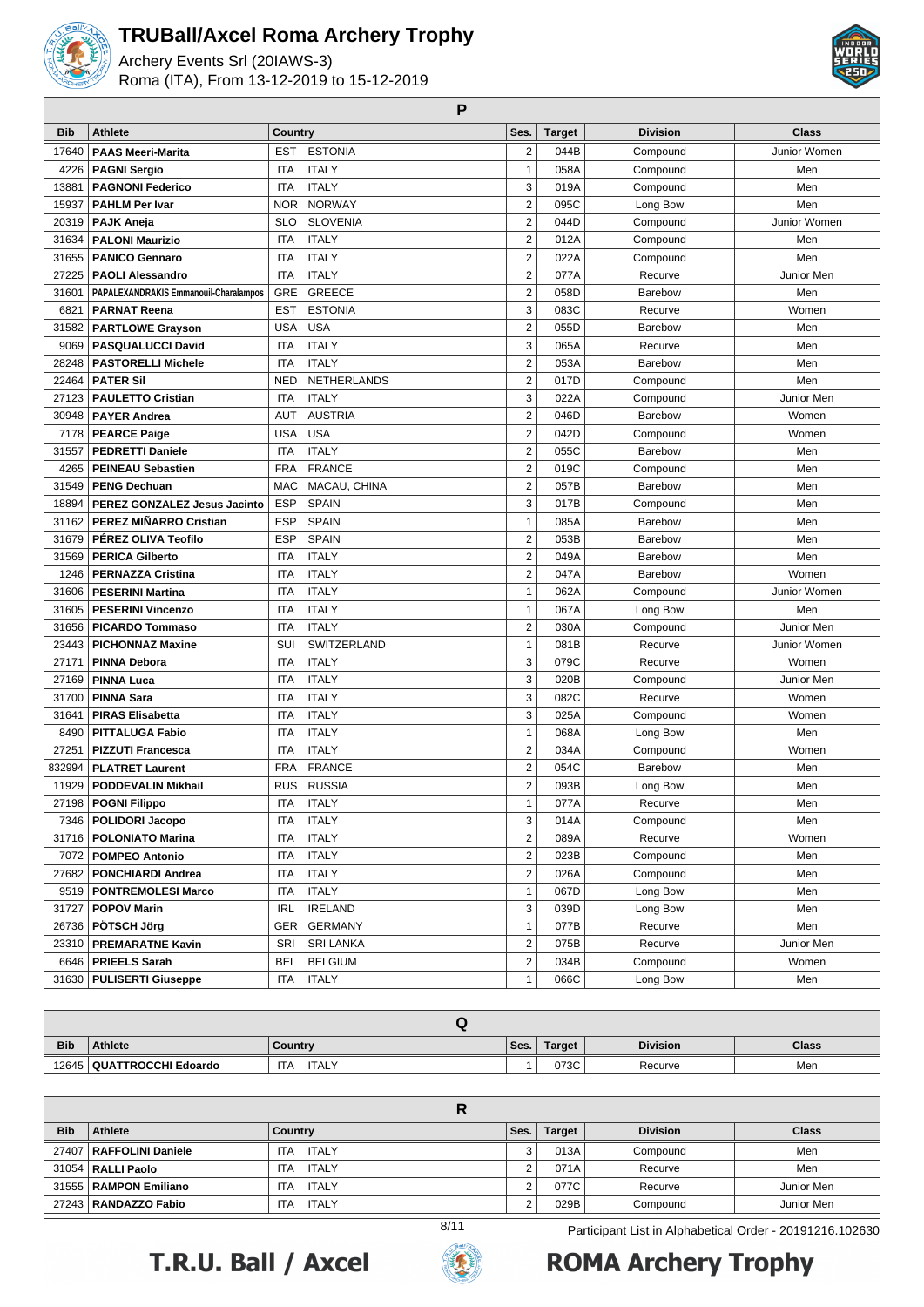

Archery Events Srl (20IAWS-3) Roma (ITA), From 13-12-2019 to 15-12-2019



**P**

| <b>Bib</b> | <b>Athlete</b>                        | Country    |                 | Ses.                    | <b>Target</b> | <b>Division</b> | <b>Class</b> |
|------------|---------------------------------------|------------|-----------------|-------------------------|---------------|-----------------|--------------|
| 17640      | <b>PAAS Meeri-Marita</b>              | <b>EST</b> | <b>ESTONIA</b>  | $\overline{c}$          | 044B          | Compound        | Junior Women |
| 4226       | <b>PAGNI Sergio</b>                   | <b>ITA</b> | <b>ITALY</b>    | $\mathbf{1}$            | 058A          | Compound        | Men          |
| 13881      | <b>PAGNONI Federico</b>               | <b>ITA</b> | <b>ITALY</b>    | 3                       | 019A          | Compound        | Men          |
| 15937      | <b>PAHLM Per Ivar</b>                 | NOR.       | <b>NORWAY</b>   | $\overline{2}$          | 095C          | Long Bow        | Men          |
| 20319      | PAJK Aneja                            | <b>SLO</b> | <b>SLOVENIA</b> | $\overline{2}$          | 044D          | Compound        | Junior Women |
| 31634      | <b>PALONI Maurizio</b>                | ITA        | <b>ITALY</b>    | $\overline{2}$          | 012A          | Compound        | Men          |
| 31655      | <b>PANICO Gennaro</b>                 | <b>ITA</b> | <b>ITALY</b>    | $\overline{2}$          | 022A          | Compound        | Men          |
| 27225      | <b>PAOLI Alessandro</b>               | ITA        | <b>ITALY</b>    | $\overline{2}$          | 077A          | Recurve         | Junior Men   |
| 31601      | PAPALEXANDRAKIS Emmanouil-Charalampos | GRE        | <b>GREECE</b>   | $\overline{2}$          | 058D          | Barebow         | Men          |
| 6821       | <b>PARNAT Reena</b>                   | <b>EST</b> | <b>ESTONIA</b>  | 3                       | 083C          | Recurve         | Women        |
| 31582      | <b>PARTLOWE Grayson</b>               | <b>USA</b> | <b>USA</b>      | $\overline{2}$          | 055D          | <b>Barebow</b>  | Men          |
| 9069       | <b>PASQUALUCCI David</b>              | ITA        | <b>ITALY</b>    | 3                       | 065A          | Recurve         | Men          |
| 28248      | <b>PASTORELLI Michele</b>             | ITA        | <b>ITALY</b>    | $\overline{2}$          | 053A          | Barebow         | Men          |
| 22464      | <b>PATER Sil</b>                      | <b>NED</b> | NETHERLANDS     | $\overline{2}$          | 017D          | Compound        | Men          |
| 27123      | <b>PAULETTO Cristian</b>              | <b>ITA</b> | <b>ITALY</b>    | 3                       | 022A          | Compound        | Junior Men   |
| 30948      | <b>PAYER Andrea</b>                   | <b>AUT</b> | <b>AUSTRIA</b>  | $\overline{2}$          | 046D          | Barebow         | Women        |
| 7178       | <b>PEARCE Paige</b>                   | <b>USA</b> | <b>USA</b>      | $\overline{2}$          | 042D          | Compound        | Women        |
| 31557      | <b>PEDRETTI Daniele</b>               | <b>ITA</b> | <b>ITALY</b>    | $\overline{2}$          | 055C          | Barebow         | Men          |
| 4265       | <b>PEINEAU Sebastien</b>              | <b>FRA</b> | <b>FRANCE</b>   | $\overline{2}$          | 019C          | Compound        | Men          |
| 31549      | <b>PENG Dechuan</b>                   | <b>MAC</b> | MACAU, CHINA    | $\overline{2}$          | 057B          | Barebow         | Men          |
| 18894      | PEREZ GONZALEZ Jesus Jacinto          | <b>ESP</b> | <b>SPAIN</b>    | 3                       | 017B          | Compound        | Men          |
| 31162      | <b>PEREZ MIÑARRO Cristian</b>         | <b>ESP</b> | <b>SPAIN</b>    | 1                       | 085A          | Barebow         | Men          |
| 31679      | PÉREZ OLIVA Teofilo                   | <b>ESP</b> | <b>SPAIN</b>    | $\overline{2}$          | 053B          | Barebow         | Men          |
| 31569      | <b>PERICA Gilberto</b>                | <b>ITA</b> | <b>ITALY</b>    | $\overline{2}$          | 049A          | Barebow         | Men          |
| 1246       | <b>PERNAZZA Cristina</b>              | <b>ITA</b> | <b>ITALY</b>    | 2                       | 047A          | Barebow         | Women        |
| 31606      | <b>PESERINI Martina</b>               | <b>ITA</b> | <b>ITALY</b>    | 1                       | 062A          | Compound        | Junior Women |
| 31605      | <b>PESERINI Vincenzo</b>              | <b>ITA</b> | <b>ITALY</b>    | 1                       | 067A          | Long Bow        | Men          |
| 31656      | <b>PICARDO Tommaso</b>                | <b>ITA</b> | <b>ITALY</b>    | $\overline{2}$          | 030A          | Compound        | Junior Men   |
| 23443      | <b>PICHONNAZ Maxine</b>               | SUI        | SWITZERLAND     | 1                       | 081B          | Recurve         | Junior Women |
| 27171      | <b>PINNA Debora</b>                   | ITA        | <b>ITALY</b>    | 3                       | 079C          | Recurve         | Women        |
| 27169      | <b>PINNA Luca</b>                     | ITA        | <b>ITALY</b>    | 3                       | 020B          | Compound        | Junior Men   |
| 31700      | <b>PINNA Sara</b>                     | <b>ITA</b> | <b>ITALY</b>    | 3                       | 082C          | Recurve         | Women        |
| 31641      | <b>PIRAS Elisabetta</b>               | <b>ITA</b> | <b>ITALY</b>    | 3                       | 025A          | Compound        | Women        |
| 8490       | <b>PITTALUGA Fabio</b>                | <b>ITA</b> | <b>ITALY</b>    | 1                       | 068A          | Long Bow        | Men          |
| 27251      | <b>PIZZUTI Francesca</b>              | ITA        | <b>ITALY</b>    | $\overline{2}$          | 034A          | Compound        | Women        |
| 832994     | <b>PLATRET Laurent</b>                | <b>FRA</b> | <b>FRANCE</b>   | $\overline{2}$          | 054C          | Barebow         | Men          |
| 11929      | <b>PODDEVALIN Mikhail</b>             | <b>RUS</b> | <b>RUSSIA</b>   | $\overline{2}$          | 093B          | Long Bow        | Men          |
|            | 27198   POGNI Filippo                 | <b>ITA</b> | <b>ITALY</b>    | $\mathbf{1}$            | 077A          | Recurve         | Men          |
|            | 7346   POLIDORI Jacopo                |            | ITA ITALY       | 3                       | 014A          | Compound        | Men          |
|            | 31716   POLONIATO Marina              | ITA        | <b>ITALY</b>    | 2                       | 089A          | Recurve         | Women        |
|            | 7072   POMPEO Antonio                 | <b>ITA</b> | <b>ITALY</b>    | 2                       | 023B          | Compound        | Men          |
|            | 27682   PONCHIARDI Andrea             | ITA        | <b>ITALY</b>    | $\overline{\mathbf{c}}$ | 026A          | Compound        | Men          |
|            | 9519   PONTREMOLESI Marco             | ITA        | <b>ITALY</b>    | 1                       | 067D          | Long Bow        | Men          |
| 31727      | <b>POPOV Marin</b>                    | IRL        | <b>IRELAND</b>  | 3                       | 039D          | Long Bow        | Men          |
|            | 26736 <b>  PÖTSCH Jörg</b>            | GER        | <b>GERMANY</b>  | 1                       | 077B          | Recurve         | Men          |
|            | 23310   PREMARATNE Kavin              | SRI        | SRI LANKA       | 2                       | 075B          | Recurve         | Junior Men   |
|            | 6646   PRIEELS Sarah                  | BEL        | <b>BELGIUM</b>  | 2                       | 034B          | Compound        | Women        |
|            | 31630   PULISERTI Giuseppe            |            | ITA ITALY       | $\mathbf{1}$            | 066C          | Long Bow        | Men          |

| <b>Bib</b> | Athlete                     | Country                    | Ses. | Target | <b>Division</b> | Class |
|------------|-----------------------------|----------------------------|------|--------|-----------------|-------|
|            | 12645   QUATTROCCHI Edoardo | <b>ITA</b><br><b>ITALY</b> |      | 073C   | Recurve         | Men   |

| <b>Bib</b> | <b>Athlete</b>            | Country             | Ses.   | <b>Target</b> | <b>Division</b> | <b>Class</b> |  |
|------------|---------------------------|---------------------|--------|---------------|-----------------|--------------|--|
|            | 27407   RAFFOLINI Daniele | <b>ITALY</b><br>ITA | 3      | 013A          | Compound        | Men          |  |
|            | 31054   RALLI Paolo       | ITALY<br>ITA        | c<br>∠ | 071A          | Recurve         | Men          |  |
|            | 31555   RAMPON Emiliano   | ITALY<br>ITA        | ົ      | 077C          | Recurve         | Junior Men   |  |
|            | 27243   RANDAZZO Fabio    | <b>ITALY</b><br>ITA | ົ      | 029B          | Compound        | Junior Men   |  |





8/11 Participant List in Alphabetical Order - 20191216.102630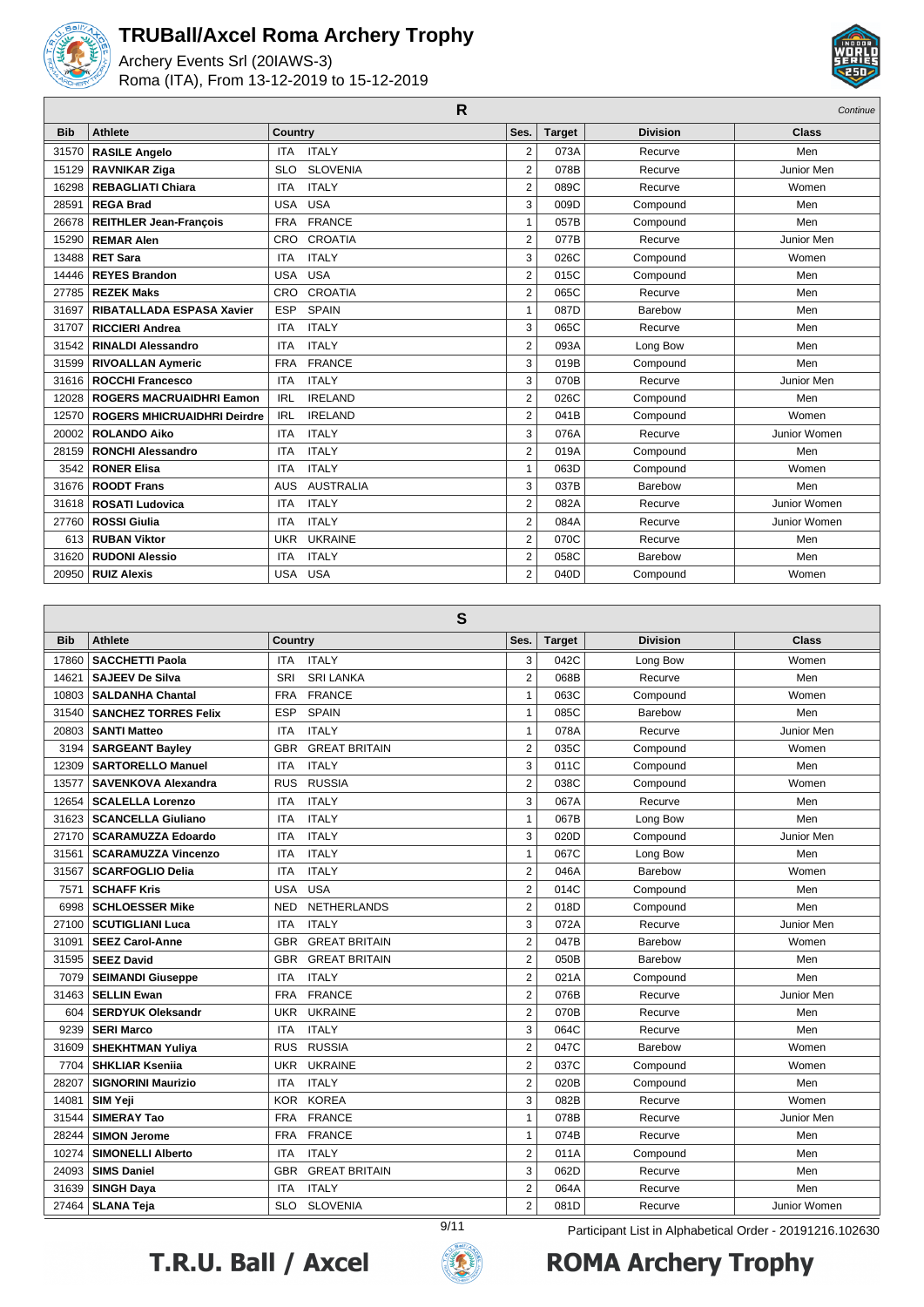

L

### **TRUBall/Axcel Roma Archery Trophy**

Archery Events Srl (20IAWS-3) Roma (ITA), From 13-12-2019 to 15-12-2019



|            |                                    |                                | R              |               |                 | Continue     |
|------------|------------------------------------|--------------------------------|----------------|---------------|-----------------|--------------|
| <b>Bib</b> | <b>Athlete</b>                     | Country                        | Ses.           | <b>Target</b> | <b>Division</b> | <b>Class</b> |
| 31570      | <b>RASILE Angelo</b>               | <b>ITALY</b><br><b>ITA</b>     | 2              | 073A          | Recurve         | Men          |
| 15129      | <b>RAVNIKAR Ziga</b>               | <b>SLOVENIA</b><br><b>SLO</b>  | $\overline{2}$ | 078B          | Recurve         | Junior Men   |
| 16298      | <b>REBAGLIATI Chiara</b>           | <b>ITALY</b><br><b>ITA</b>     | $\overline{2}$ | 089C          | Recurve         | Women        |
| 28591      | <b>REGA Brad</b>                   | <b>USA</b><br><b>USA</b>       | 3              | 009D          | Compound        | Men          |
| 26678      | <b>REITHLER Jean-François</b>      | <b>FRANCE</b><br><b>FRA</b>    | 1              | 057B          | Compound        | Men          |
| 15290      | <b>REMAR Alen</b>                  | <b>CROATIA</b><br><b>CRO</b>   | $\overline{2}$ | 077B          | Recurve         | Junior Men   |
| 13488      | <b>RET Sara</b>                    | <b>ITALY</b><br><b>ITA</b>     | 3              | 026C          | Compound        | Women        |
| 14446      | <b>REYES Brandon</b>               | <b>USA</b><br><b>USA</b>       | $\overline{2}$ | 015C          | Compound        | Men          |
| 27785      | <b>REZEK Maks</b>                  | CROATIA<br>CRO                 | $\overline{2}$ | 065C          | Recurve         | Men          |
| 31697      | <b>RIBATALLADA ESPASA Xavier</b>   | <b>ESP</b><br><b>SPAIN</b>     | 1              | 087D          | Barebow         | Men          |
| 31707      | <b>RICCIERI Andrea</b>             | <b>ITALY</b><br><b>ITA</b>     | 3              | 065C          | Recurve         | Men          |
| 31542      | <b>RINALDI Alessandro</b>          | <b>ITALY</b><br><b>ITA</b>     | $\overline{2}$ | 093A          | Long Bow        | Men          |
| 31599      | <b>RIVOALLAN Aymeric</b>           | <b>FRANCE</b><br><b>FRA</b>    | 3              | 019B          | Compound        | Men          |
| 31616      | <b>ROCCHI Francesco</b>            | <b>ITALY</b><br><b>ITA</b>     | 3              | 070B          | Recurve         | Junior Men   |
| 12028      | <b>ROGERS MACRUAIDHRI Eamon</b>    | <b>IRELAND</b><br><b>IRL</b>   | $\overline{2}$ | 026C          | Compound        | Men          |
| 12570      | <b>ROGERS MHICRUAIDHRI Deirdre</b> | <b>IRELAND</b><br><b>IRL</b>   | $\overline{2}$ | 041B          | Compound        | Women        |
| 20002      | <b>ROLANDO Aiko</b>                | <b>ITALY</b><br><b>ITA</b>     | 3              | 076A          | Recurve         | Junior Women |
| 28159      | <b>RONCHI Alessandro</b>           | <b>ITALY</b><br><b>ITA</b>     | $\overline{2}$ | 019A          | Compound        | Men          |
| 3542       | <b>RONER Elisa</b>                 | <b>ITALY</b><br><b>ITA</b>     | 1              | 063D          | Compound        | Women        |
| 31676      | <b>ROODT Frans</b>                 | <b>AUSTRALIA</b><br><b>AUS</b> | 3              | 037B          | Barebow         | Men          |
| 31618      | <b>ROSATI Ludovica</b>             | <b>ITALY</b><br><b>ITA</b>     | $\overline{2}$ | 082A          | Recurve         | Junior Women |
| 27760      | <b>ROSSI Giulia</b>                | <b>ITALY</b><br><b>ITA</b>     | $\overline{2}$ | 084A          | Recurve         | Junior Women |
| 613        | <b>RUBAN Viktor</b>                | <b>UKRAINE</b><br><b>UKR</b>   | $\overline{2}$ | 070C          | Recurve         | Men          |
| 31620      | <b>RUDONI Alessio</b>              | <b>ITALY</b><br><b>ITA</b>     | $\overline{2}$ | 058C          | Barebow         | Men          |
| 20950      | <b>RUIZ Alexis</b>                 | <b>USA</b><br><b>USA</b>       | $\overline{2}$ | 040D          | Compound        | Women        |

**S**

|            | P                           |                                                                  |                |               |                 |              |  |  |  |
|------------|-----------------------------|------------------------------------------------------------------|----------------|---------------|-----------------|--------------|--|--|--|
| <b>Bib</b> | <b>Athlete</b>              | Country                                                          | Ses.           | <b>Target</b> | <b>Division</b> | <b>Class</b> |  |  |  |
| 17860      | <b>SACCHETTI Paola</b>      | <b>ITALY</b><br><b>ITA</b>                                       | 3              | 042C          | Long Bow        | Women        |  |  |  |
| 14621      | <b>SAJEEV De Silva</b>      | <b>SRI LANKA</b><br>SRI                                          | $\overline{2}$ | 068B          | Recurve         | Men          |  |  |  |
| 10803      | <b>SALDANHA Chantal</b>     | <b>FRANCE</b><br><b>FRA</b>                                      | $\mathbf{1}$   | 063C          | Compound        | Women        |  |  |  |
| 31540      | <b>SANCHEZ TORRES Felix</b> | <b>SPAIN</b><br><b>ESP</b>                                       | $\mathbf{1}$   | 085C          | Barebow         | Men          |  |  |  |
| 20803      | <b>SANTI Matteo</b>         | <b>ITALY</b><br><b>ITA</b>                                       | $\mathbf{1}$   | 078A          | Recurve         | Junior Men   |  |  |  |
| 3194       | <b>SARGEANT Bayley</b>      | <b>GREAT BRITAIN</b><br><b>GBR</b>                               | $\overline{2}$ | 035C          | Compound        | Women        |  |  |  |
| 12309      | <b>SARTORELLO Manuel</b>    | <b>ITALY</b><br><b>ITA</b>                                       | 3              | 011C          | Compound        | Men          |  |  |  |
| 13577      | <b>SAVENKOVA Alexandra</b>  | <b>RUSSIA</b><br><b>RUS</b>                                      | $\overline{2}$ | 038C          | Compound        | Women        |  |  |  |
| 12654      | <b>SCALELLA Lorenzo</b>     | <b>ITALY</b><br><b>ITA</b>                                       | 3              | 067A          | Recurve         | Men          |  |  |  |
| 31623      | <b>SCANCELLA Giuliano</b>   | <b>ITALY</b><br><b>ITA</b>                                       | $\mathbf{1}$   | 067B          | Long Bow        | Men          |  |  |  |
| 27170      | <b>SCARAMUZZA Edoardo</b>   | <b>ITALY</b><br><b>ITA</b>                                       | 3              | 020D          | Compound        | Junior Men   |  |  |  |
| 31561      | <b>SCARAMUZZA Vincenzo</b>  | <b>ITALY</b><br><b>ITA</b>                                       | $\mathbf{1}$   | 067C          | Long Bow        | Men          |  |  |  |
| 31567      | <b>SCARFOGLIO Delia</b>     | <b>ITALY</b><br><b>ITA</b>                                       | $\overline{2}$ | 046A          | Barebow         | Women        |  |  |  |
| 7571       | <b>SCHAFF Kris</b>          | <b>USA</b><br><b>USA</b>                                         | $\overline{2}$ | 014C          | Compound        | Men          |  |  |  |
| 6998       | <b>SCHLOESSER Mike</b>      | <b>NED</b><br><b>NETHERLANDS</b>                                 | $\overline{2}$ | 018D          | Compound        | Men          |  |  |  |
| 27100      | <b>SCUTIGLIANI Luca</b>     | <b>ITALY</b><br><b>ITA</b>                                       | 3              | 072A          | Recurve         | Junior Men   |  |  |  |
| 31091      | <b>SEEZ Carol-Anne</b>      | <b>GREAT BRITAIN</b><br><b>GBR</b>                               | $\overline{2}$ | 047B          | Barebow         | Women        |  |  |  |
| 31595      | <b>SEEZ David</b>           | <b>GBR</b><br><b>GREAT BRITAIN</b>                               | $\overline{2}$ | 050B          | Barebow         | Men          |  |  |  |
| 7079       | <b>SEIMANDI Giuseppe</b>    | <b>ITALY</b><br><b>ITA</b>                                       | $\overline{2}$ | 021A          | Compound        | Men          |  |  |  |
| 31463      | <b>SELLIN Ewan</b>          | <b>FRANCE</b><br><b>FRA</b>                                      | $\overline{2}$ | 076B          | Recurve         | Junior Men   |  |  |  |
| 604        | <b>SERDYUK Oleksandr</b>    | <b>UKRAINE</b><br><b>UKR</b>                                     | $\overline{2}$ | 070B          | Recurve         | Men          |  |  |  |
| 9239       | <b>SERI Marco</b>           | <b>ITALY</b><br><b>ITA</b>                                       | 3              | 064C          | Recurve         | Men          |  |  |  |
| 31609      | <b>SHEKHTMAN Yuliya</b>     | <b>RUSSIA</b><br><b>RUS</b>                                      | $\overline{2}$ | 047C          | Barebow         | Women        |  |  |  |
| 7704       | <b>SHKLIAR Ksenija</b>      | <b>UKRAINE</b><br><b>UKR</b>                                     | $\overline{2}$ | 037C          | Compound        | Women        |  |  |  |
| 28207      | <b>SIGNORINI Maurizio</b>   | <b>ITALY</b><br><b>ITA</b>                                       | $\overline{2}$ | 020B          | Compound        | Men          |  |  |  |
| 14081      | <b>SIM Yeji</b>             | <b>KOREA</b><br><b>KOR</b>                                       | 3              | 082B          | Recurve         | Women        |  |  |  |
| 31544      | <b>SIMERAY Tao</b>          | <b>FRANCE</b><br><b>FRA</b>                                      | $\mathbf{1}$   | 078B          | Recurve         | Junior Men   |  |  |  |
| 28244      | <b>SIMON Jerome</b>         | <b>FRANCE</b><br><b>FRA</b>                                      | $\mathbf{1}$   | 074B          | Recurve         | Men          |  |  |  |
| 10274      | <b>SIMONELLI Alberto</b>    | <b>ITALY</b><br><b>ITA</b>                                       | $\overline{2}$ | 011A          | Compound        | Men          |  |  |  |
| 24093      | <b>SIMS Daniel</b>          | <b>GBR</b><br><b>GREAT BRITAIN</b>                               | 3              | 062D          | Recurve         | Men          |  |  |  |
| 31639      | <b>SINGH Daya</b>           | <b>ITALY</b><br><b>ITA</b>                                       | $\overline{2}$ | 064A          | Recurve         | Men          |  |  |  |
| 27464      | <b>SLANA Teja</b>           | <b>SLOVENIA</b><br><b>SLO</b>                                    | $\overline{2}$ | 081D          | Recurve         | Junior Women |  |  |  |
|            |                             | 9/11<br>Participant List in Alphabetical Order - 20191216.102630 |                |               |                 |              |  |  |  |



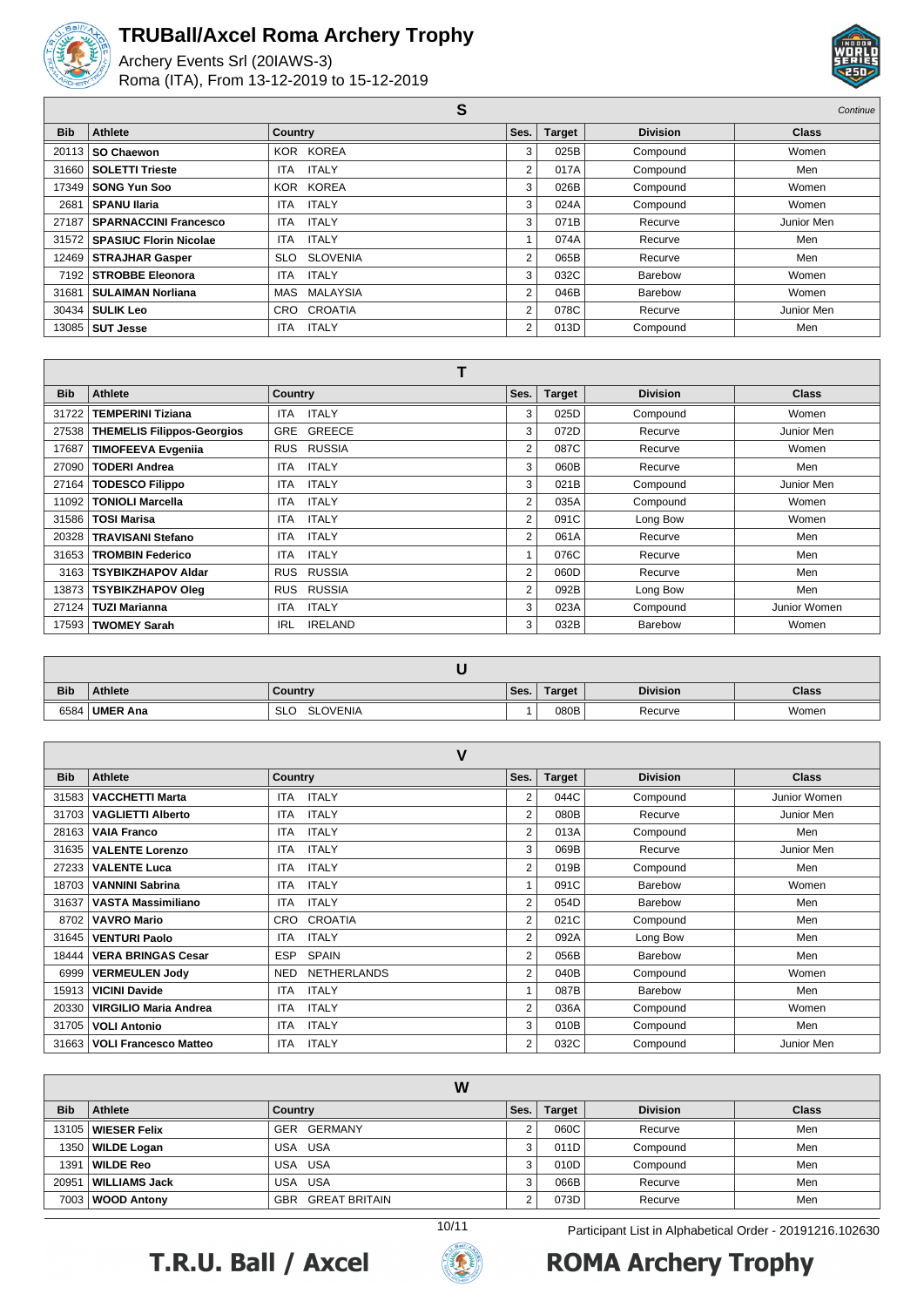

Г

### **TRUBall/Axcel Roma Archery Trophy**

Archery Events Srl (20IAWS-3) Roma (ITA), From 13-12-2019 to 15-12-2019



**S** Continue  $\overline{\mathbf{S}}$ 

| <b>Bib</b> | Athlete                        | <b>Country</b>             | Ses. | <b>Target</b> | <b>Division</b> | <b>Class</b> |
|------------|--------------------------------|----------------------------|------|---------------|-----------------|--------------|
|            | 20113   SO Chaewon             | KOR KOREA                  | 3    | 025B          | Compound        | Women        |
|            | 31660   SOLETTI Trieste        | <b>ITALY</b><br>ITA.       | 2    | 017A          | Compound        | Men          |
|            | 17349   SONG Yun Soo           | KOR KOREA                  | 3    | 026B          | Compound        | Women        |
| 2681       | SPANU Ilaria                   | <b>ITALY</b><br><b>ITA</b> | 3    | 024A          | Compound        | Women        |
| 27187      | SPARNACCINI Francesco          | <b>ITALY</b><br>ITA        | 3    | 071B          | Recurve         | Junior Men   |
|            | 31572   SPASIUC Florin Nicolae | <b>ITALY</b><br>ITA        |      | 074A          | Recurve         | Men          |
|            | 12469   STRAJHAR Gasper        | SLO SLOVENIA               | 2    | 065B          | Recurve         | Men          |
|            | 7192 STROBBE Eleonora          | <b>ITALY</b><br><b>ITA</b> | 3    | 032C          | Barebow         | Women        |
|            | 31681   SULAIMAN Norliana      | MAS MALAYSIA               | 2    | 046B          | Barebow         | Women        |
|            | 30434   SULIK Leo              | CRO CROATIA                | 2    | 078C          | Recurve         | Junior Men   |
|            | 13085   SUT Jesse              | ITALY<br><b>ITA</b>        | 2    | 013D          | Compound        | Men          |
|            |                                |                            |      |               |                 |              |

| _ | - |  |
|---|---|--|
|   |   |  |
|   |   |  |

| <b>Bib</b> | <b>Athlete</b>                    | <b>Country</b>               | Ses.           | <b>Target</b> | <b>Division</b> | <b>Class</b> |
|------------|-----------------------------------|------------------------------|----------------|---------------|-----------------|--------------|
| 31722      | <b>TEMPERINI Tiziana</b>          | <b>ITALY</b><br>ITA          | 3              | 025D          | Compound        | Women        |
| 27538      | <b>THEMELIS Filippos-Georgios</b> | GRE GREECE                   | 3              | 072D          | Recurve         | Junior Men   |
| 17687      | <b>TIMOFEEVA Evgenija</b>         | RUSSIA<br><b>RUS</b>         | 2              | 087C          | Recurve         | Women        |
| 27090      | <b>TODERI Andrea</b>              | <b>ITALY</b><br>ITA.         | 3              | 060B          | Recurve         | Men          |
| 27164      | <b>TODESCO Filippo</b>            | <b>ITALY</b><br><b>ITA</b>   | 3              | 021B          | Compound        | Junior Men   |
| 11092      | <b>TONIOLI Marcella</b>           | <b>ITALY</b><br>ITA          | $\overline{2}$ | 035A          | Compound        | Women        |
| 31586      | <b>TOSI Marisa</b>                | <b>ITALY</b><br>ITA.         | 2              | 091C          | Long Bow        | Women        |
| 20328      | <b>TRAVISANI Stefano</b>          | <b>ITALY</b><br>ITA          | 2              | 061A          | Recurve         | Men          |
| 31653      | <b>TROMBIN Federico</b>           | <b>ITALY</b><br>ITA.         |                | 076C          | Recurve         | Men          |
| 3163       | <b>TSYBIKZHAPOV Aldar</b>         | RUSSIA<br><b>RUS</b>         | 2              | 060D          | Recurve         | Men          |
| 13873      | <b>TSYBIKZHAPOV Oleg</b>          | RUSSIA<br><b>RUS</b>         | 2              | 092B          | Long Bow        | Men          |
| 27124      | <b>TUZI Marianna</b>              | <b>ITALY</b><br><b>ITA</b>   | 3              | 023A          | Compound        | Junior Women |
| 17593      | <b>TWOMEY Sarah</b>               | <b>IRELAND</b><br><b>IRL</b> | 3              | 032B          | Barebow         | Women        |

| <b>Bib</b> | <b>Athlete</b> | Country                       | Ses. | Target | <b>Division</b> | <b>Class</b> |
|------------|----------------|-------------------------------|------|--------|-----------------|--------------|
| 6584       | UMER Ana       | <b>SLOVENIA</b><br><b>SLO</b> |      | 080B   | Recurve         | Women        |

| ٧          |                              |                            |                |               |                 |              |
|------------|------------------------------|----------------------------|----------------|---------------|-----------------|--------------|
| <b>Bib</b> | <b>Athlete</b>               | <b>Country</b>             | Ses.           | <b>Target</b> | <b>Division</b> | <b>Class</b> |
| 31583      | <b>VACCHETTI Marta</b>       | <b>ITALY</b><br>ITA.       | 2              | 044C          | Compound        | Junior Women |
| 31703      | <b>VAGLIETTI Alberto</b>     | <b>ITALY</b><br><b>ITA</b> | 2              | 080B          | Recurve         | Junior Men   |
| 28163      | <b>VAIA Franco</b>           | <b>ITALY</b><br><b>ITA</b> | 2              | 013A          | Compound        | Men          |
| 31635      | <b>VALENTE Lorenzo</b>       | <b>ITALY</b><br><b>ITA</b> | 3              | 069B          | Recurve         | Junior Men   |
| 27233      | <b>VALENTE Luca</b>          | <b>ITALY</b><br><b>ITA</b> | 2              | 019B          | Compound        | Men          |
| 18703      | <b>VANNINI Sabrina</b>       | <b>ITALY</b><br><b>ITA</b> |                | 091C          | Barebow         | Women        |
| 31637      | <b>VASTA Massimiliano</b>    | <b>ITALY</b><br><b>ITA</b> | $\overline{2}$ | 054D          | Barebow         | Men          |
| 8702       | <b>VAVRO Mario</b>           | <b>CROATIA</b><br>CRO      | $\overline{2}$ | 021C          | Compound        | Men          |
| 31645      | <b>VENTURI Paolo</b>         | <b>ITALY</b><br><b>ITA</b> | 2              | 092A          | Long Bow        | Men          |
| 18444      | <b>VERA BRINGAS Cesar</b>    | <b>ESP</b><br><b>SPAIN</b> | 2              | 056B          | Barebow         | Men          |
| 6999       | <b>VERMEULEN Jody</b>        | <b>NETHERLANDS</b><br>NED. | 2              | 040B          | Compound        | Women        |
| 15913      | <b>VICINI Davide</b>         | <b>ITALY</b><br><b>ITA</b> |                | 087B          | Barebow         | Men          |
| 20330      | <b>VIRGILIO Maria Andrea</b> | <b>ITALY</b><br><b>ITA</b> | $\overline{2}$ | 036A          | Compound        | Women        |
| 31705      | <b>VOLI Antonio</b>          | <b>ITALY</b><br><b>ITA</b> | 3              | 010B          | Compound        | Men          |
| 31663      | <b>VOLI Francesco Matteo</b> | <b>ITALY</b><br><b>ITA</b> | 2              | 032C          | Compound        | Junior Men   |

| W          |                      |                   |            |               |                 |              |
|------------|----------------------|-------------------|------------|---------------|-----------------|--------------|
| <b>Bib</b> | <b>Athlete</b>       | Country           | Ses.       | <b>Target</b> | <b>Division</b> | <b>Class</b> |
|            | 13105   WIESER Felix | GER GERMANY       |            | 060C          | Recurve         | Men          |
|            | 1350   WILDE Logan   | <b>USA</b><br>USA | 3          | 011D          | Compound        | Men          |
| 1391       | <b>WILDE Reo</b>     | <b>USA</b><br>USA | 3          | 010D          | Compound        | Men          |
| 20951      | WILLIAMS Jack        | USA USA           | 3          | 066B          | Recurve         | Men          |
|            | 7003   WOOD Antony   | GBR GREAT BRITAIN | $\sqrt{2}$ | 073D          | Recurve         | Men          |





# 10/11 Participant List in Alphabetical Order - 20191216.102630